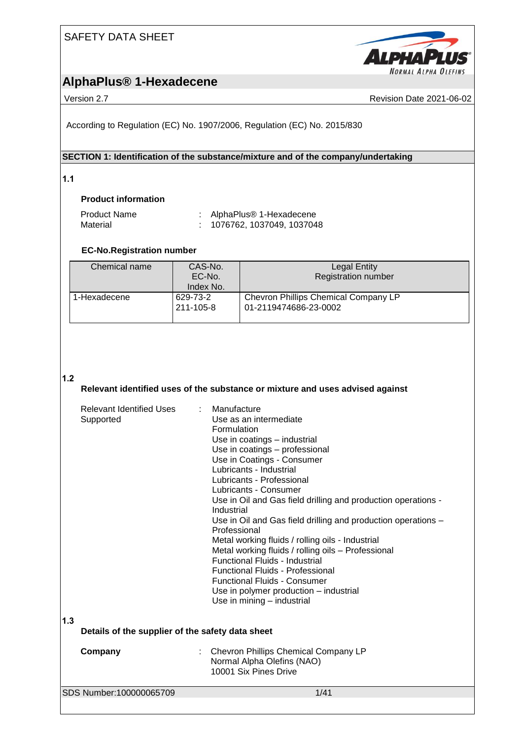

# **AlphaPlus® 1-Hexadecene**

Version 2.7 **New York 2021-06-02** Revision Date 2021-06-02

According to Regulation (EC) No. 1907/2006, Regulation (EC) No. 2015/830

### **SECTION 1: Identification of the substance/mixture and of the company/undertaking**

**1.1** 

### **Product information**

| <b>Product Name</b> | AlphaPlus® 1-Hexadecene     |
|---------------------|-----------------------------|
| Material            | : 1076762, 1037049, 1037048 |

### **EC-No.Registration number**

| Chemical name | CAS-No.<br>EC-No.<br>Index No. | <b>Legal Entity</b><br><b>Registration number</b>             |
|---------------|--------------------------------|---------------------------------------------------------------|
| 1-Hexadecene  | 629-73-2<br>211-105-8          | Chevron Phillips Chemical Company LP<br>01-2119474686-23-0002 |

### **1.2**

### **Relevant identified uses of the substance or mixture and uses advised against**

|     | <b>Relevant Identified Uses</b><br>Supported     | : Manufacture<br>Use as an intermediate<br>Formulation<br>Use in coatings - industrial<br>Use in coatings - professional<br>Use in Coatings - Consumer<br>Lubricants - Industrial<br>Lubricants - Professional<br>Lubricants - Consumer<br>Use in Oil and Gas field drilling and production operations -<br>Industrial<br>Use in Oil and Gas field drilling and production operations -<br>Professional<br>Metal working fluids / rolling oils - Industrial<br>Metal working fluids / rolling oils - Professional<br><b>Functional Fluids - Industrial</b><br>Functional Fluids - Professional<br><b>Functional Fluids - Consumer</b><br>Use in polymer production – industrial<br>Use in mining - industrial |
|-----|--------------------------------------------------|---------------------------------------------------------------------------------------------------------------------------------------------------------------------------------------------------------------------------------------------------------------------------------------------------------------------------------------------------------------------------------------------------------------------------------------------------------------------------------------------------------------------------------------------------------------------------------------------------------------------------------------------------------------------------------------------------------------|
| 1.3 | Details of the supplier of the safety data sheet |                                                                                                                                                                                                                                                                                                                                                                                                                                                                                                                                                                                                                                                                                                               |
|     | Company                                          | Chevron Phillips Chemical Company LP<br>Normal Alpha Olefins (NAO)<br>10001 Six Pines Drive                                                                                                                                                                                                                                                                                                                                                                                                                                                                                                                                                                                                                   |
|     | SDS Number:100000065709                          | 1/41                                                                                                                                                                                                                                                                                                                                                                                                                                                                                                                                                                                                                                                                                                          |
|     |                                                  |                                                                                                                                                                                                                                                                                                                                                                                                                                                                                                                                                                                                                                                                                                               |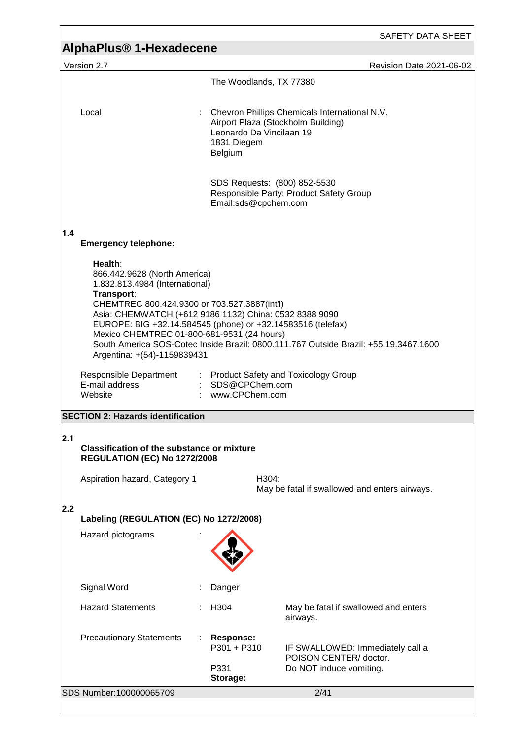|     |                                                                                                                                                                                                                                                                                                                                                                                                                                       |                                                    |                                                                                      | SAFETY DATA SHEET        |
|-----|---------------------------------------------------------------------------------------------------------------------------------------------------------------------------------------------------------------------------------------------------------------------------------------------------------------------------------------------------------------------------------------------------------------------------------------|----------------------------------------------------|--------------------------------------------------------------------------------------|--------------------------|
|     | <b>AlphaPlus<sup>®</sup> 1-Hexadecene</b>                                                                                                                                                                                                                                                                                                                                                                                             |                                                    |                                                                                      |                          |
|     | Version 2.7                                                                                                                                                                                                                                                                                                                                                                                                                           |                                                    |                                                                                      | Revision Date 2021-06-02 |
|     |                                                                                                                                                                                                                                                                                                                                                                                                                                       | The Woodlands, TX 77380                            |                                                                                      |                          |
|     | Local                                                                                                                                                                                                                                                                                                                                                                                                                                 | Leonardo Da Vincilaan 19<br>1831 Diegem<br>Belgium | Chevron Phillips Chemicals International N.V.<br>Airport Plaza (Stockholm Building)  |                          |
|     |                                                                                                                                                                                                                                                                                                                                                                                                                                       | Email:sds@cpchem.com                               | SDS Requests: (800) 852-5530<br>Responsible Party: Product Safety Group              |                          |
| 1.4 | <b>Emergency telephone:</b>                                                                                                                                                                                                                                                                                                                                                                                                           |                                                    |                                                                                      |                          |
|     | Health:<br>866.442.9628 (North America)<br>1.832.813.4984 (International)<br>Transport:<br>CHEMTREC 800.424.9300 or 703.527.3887(int'l)<br>Asia: CHEMWATCH (+612 9186 1132) China: 0532 8388 9090<br>EUROPE: BIG +32.14.584545 (phone) or +32.14583516 (telefax)<br>Mexico CHEMTREC 01-800-681-9531 (24 hours)<br>South America SOS-Cotec Inside Brazil: 0800.111.767 Outside Brazil: +55.19.3467.1600<br>Argentina: +(54)-1159839431 |                                                    |                                                                                      |                          |
|     | Responsible Department<br>E-mail address<br>Website                                                                                                                                                                                                                                                                                                                                                                                   | : SDS@CPChem.com<br>www.CPChem.com                 | : Product Safety and Toxicology Group                                                |                          |
|     | <b>SECTION 2: Hazards identification</b>                                                                                                                                                                                                                                                                                                                                                                                              |                                                    |                                                                                      |                          |
| 2.1 | <b>Classification of the substance or mixture</b><br><b>REGULATION (EC) No 1272/2008</b>                                                                                                                                                                                                                                                                                                                                              |                                                    |                                                                                      |                          |
|     | Aspiration hazard, Category 1                                                                                                                                                                                                                                                                                                                                                                                                         |                                                    | H304:<br>May be fatal if swallowed and enters airways.                               |                          |
| 2.2 |                                                                                                                                                                                                                                                                                                                                                                                                                                       |                                                    |                                                                                      |                          |
|     | Labeling (REGULATION (EC) No 1272/2008)                                                                                                                                                                                                                                                                                                                                                                                               |                                                    |                                                                                      |                          |
|     | Hazard pictograms                                                                                                                                                                                                                                                                                                                                                                                                                     |                                                    |                                                                                      |                          |
|     | Signal Word                                                                                                                                                                                                                                                                                                                                                                                                                           | Danger                                             |                                                                                      |                          |
|     | <b>Hazard Statements</b>                                                                                                                                                                                                                                                                                                                                                                                                              | H304                                               | May be fatal if swallowed and enters<br>airways.                                     |                          |
|     | <b>Precautionary Statements</b>                                                                                                                                                                                                                                                                                                                                                                                                       | <b>Response:</b><br>P301 + P310<br>P331            | IF SWALLOWED: Immediately call a<br>POISON CENTER/doctor.<br>Do NOT induce vomiting. |                          |
|     |                                                                                                                                                                                                                                                                                                                                                                                                                                       | Storage:                                           |                                                                                      |                          |
|     | SDS Number:100000065709                                                                                                                                                                                                                                                                                                                                                                                                               |                                                    | 2/41                                                                                 |                          |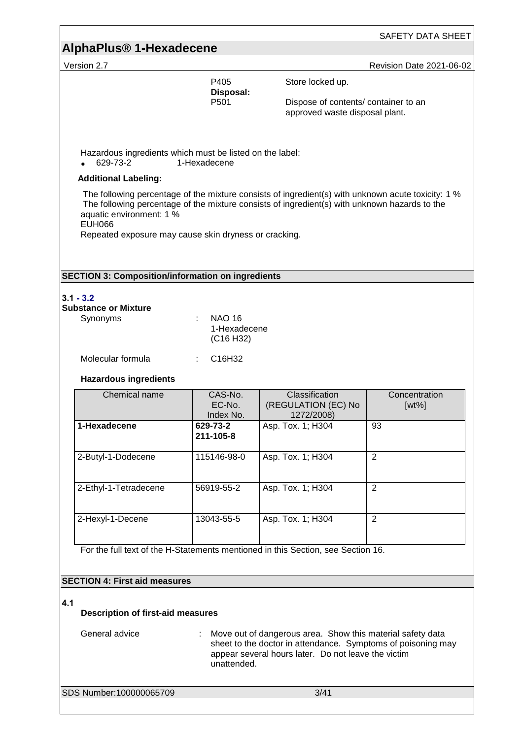## **AlphaPlus® 1-Hexadecene**

Version 2.7 **New Search 2021-06-02** Revision Date 2021-06-02

P405 Store locked up. **Disposal:** 

Dispose of contents/ container to an approved waste disposal plant.

Hazardous ingredients which must be listed on the label:<br>• 629-73-2 1-Hexadecene

629-73-2 1-Hexadecene

### **Additional Labeling:**

The following percentage of the mixture consists of ingredient(s) with unknown acute toxicity: 1 % The following percentage of the mixture consists of ingredient(s) with unknown hazards to the aquatic environment: 1 % EUH066

Repeated exposure may cause skin dryness or cracking.

#### **SECTION 3: Composition/information on ingredients**

# **3.1 - 3.2**

| Substance or Mixture |                                    |
|----------------------|------------------------------------|
| Synonyms             | NAO 16<br>1-Hexadecene             |
|                      | (C <sub>16</sub> H <sub>32</sub> ) |
| Molecular formula    | : C16H32                           |

### **Hazardous ingredients**

| Chemical name         | CAS-No.<br>EC-No.<br>Index No. | Classification<br>(REGULATION (EC) No<br>1272/2008) | Concentration<br>$[wt\%]$ |
|-----------------------|--------------------------------|-----------------------------------------------------|---------------------------|
| 1-Hexadecene          | 629-73-2<br>211-105-8          | Asp. Tox. 1; H304                                   | 93                        |
| 2-Butyl-1-Dodecene    | 115146-98-0                    | Asp. Tox. 1; H304                                   | $\overline{2}$            |
| 2-Ethyl-1-Tetradecene | 56919-55-2                     | Asp. Tox. 1; H304                                   | $\overline{2}$            |
| 2-Hexyl-1-Decene      | 13043-55-5                     | Asp. Tox. 1; H304                                   | $\overline{2}$            |

For the full text of the H-Statements mentioned in this Section, see Section 16.

### **SECTION 4: First aid measures**

#### **4.1**

### **Description of first-aid measures**

General advice : Move out of dangerous area. Show this material safety data sheet to the doctor in attendance. Symptoms of poisoning may appear several hours later. Do not leave the victim unattended.

SDS Number:100000065709 3/41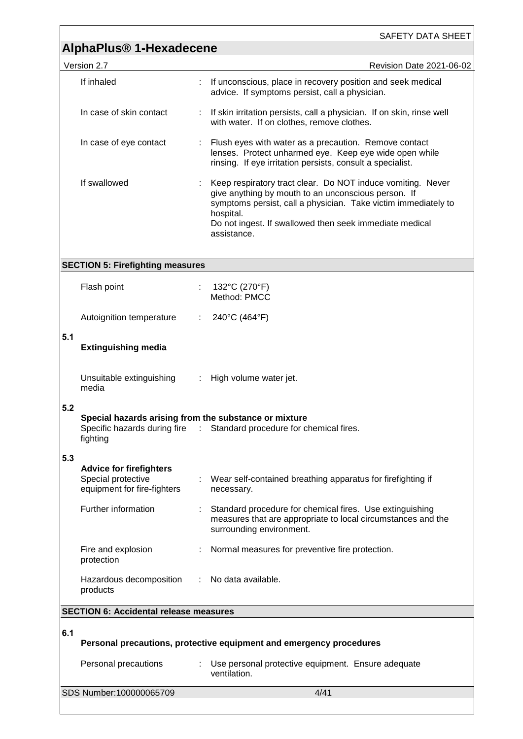|     | <b>AlphaPlus<sup>®</sup> 1-Hexadecene</b>                                           |    | SAFETY DATA SHEET                                                                                                                                                                                                                                                           |
|-----|-------------------------------------------------------------------------------------|----|-----------------------------------------------------------------------------------------------------------------------------------------------------------------------------------------------------------------------------------------------------------------------------|
|     |                                                                                     |    |                                                                                                                                                                                                                                                                             |
|     | Version 2.7<br>If inhaled                                                           |    | Revision Date 2021-06-02<br>If unconscious, place in recovery position and seek medical<br>advice. If symptoms persist, call a physician.                                                                                                                                   |
|     | In case of skin contact                                                             | ÷. | If skin irritation persists, call a physician. If on skin, rinse well<br>with water. If on clothes, remove clothes.                                                                                                                                                         |
|     | In case of eye contact                                                              |    | Flush eyes with water as a precaution. Remove contact<br>lenses. Protect unharmed eye. Keep eye wide open while<br>rinsing. If eye irritation persists, consult a specialist.                                                                                               |
|     | If swallowed                                                                        |    | Keep respiratory tract clear. Do NOT induce vomiting. Never<br>give anything by mouth to an unconscious person. If<br>symptoms persist, call a physician. Take victim immediately to<br>hospital.<br>Do not ingest. If swallowed then seek immediate medical<br>assistance. |
|     | <b>SECTION 5: Firefighting measures</b>                                             |    |                                                                                                                                                                                                                                                                             |
|     | Flash point                                                                         |    | 132°C (270°F)<br>Method: PMCC                                                                                                                                                                                                                                               |
|     | Autoignition temperature                                                            | ÷. | 240°C (464°F)                                                                                                                                                                                                                                                               |
| 5.1 | <b>Extinguishing media</b>                                                          |    |                                                                                                                                                                                                                                                                             |
|     | Unsuitable extinguishing<br>media                                                   |    | High volume water jet.                                                                                                                                                                                                                                                      |
| 5.2 | Special hazards arising from the substance or mixture<br>fighting                   |    | Specific hazards during fire : Standard procedure for chemical fires.                                                                                                                                                                                                       |
| 5.3 | <b>Advice for firefighters</b><br>Special protective<br>equipment for fire-fighters |    | Wear self-contained breathing apparatus for firefighting if<br>necessary.                                                                                                                                                                                                   |
|     | Further information                                                                 |    | Standard procedure for chemical fires. Use extinguishing<br>measures that are appropriate to local circumstances and the<br>surrounding environment.                                                                                                                        |
|     | Fire and explosion<br>protection                                                    |    | Normal measures for preventive fire protection.                                                                                                                                                                                                                             |
|     | Hazardous decomposition<br>products                                                 | ÷. | No data available.                                                                                                                                                                                                                                                          |
|     | <b>SECTION 6: Accidental release measures</b>                                       |    |                                                                                                                                                                                                                                                                             |
| 6.1 |                                                                                     |    | Personal precautions, protective equipment and emergency procedures                                                                                                                                                                                                         |
|     | Personal precautions                                                                |    | Use personal protective equipment. Ensure adequate<br>ventilation.                                                                                                                                                                                                          |
|     | SDS Number:100000065709                                                             |    | 4/41                                                                                                                                                                                                                                                                        |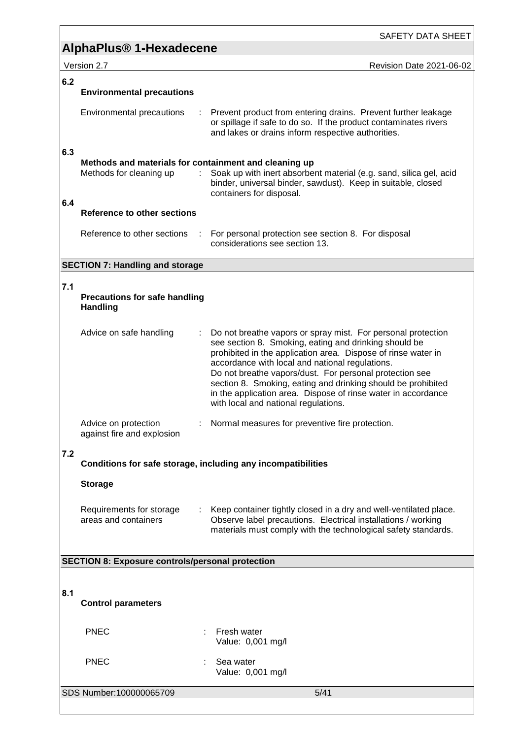SAFETY DATA SHEET

Version 2.7 **New Search 2021-06-02** Revision Date 2021-06-02

### **6.2**

# **Environmental precautions**

| Environmental precautions | : Prevent product from entering drains. Prevent further leakage<br>or spillage if safe to do so. If the product contaminates rivers<br>and lakes or drains inform respective authorities. |
|---------------------------|-------------------------------------------------------------------------------------------------------------------------------------------------------------------------------------------|
|                           |                                                                                                                                                                                           |

#### **6.3 Methods and materials for containment and cleaning up**

|     | Methods and materials for containment and cleaning up |                                                                                                                                                                  |
|-----|-------------------------------------------------------|------------------------------------------------------------------------------------------------------------------------------------------------------------------|
|     | Methods for cleaning up                               | : Soak up with inert absorbent material (e.g. sand, silica gel, acid<br>binder, universal binder, sawdust). Keep in suitable, closed<br>containers for disposal. |
| 6.4 |                                                       |                                                                                                                                                                  |
|     | <b>Reference to other sections</b>                    |                                                                                                                                                                  |

### Reference to other sections : For personal protection see section 8. For disposal considerations see section 13.

### **SECTION 7: Handling and storage**

### **7.1**

#### **Precautions for safe handling Handling**

| Advice on safe handling                            | : Do not breathe vapors or spray mist. For personal protection<br>see section 8. Smoking, eating and drinking should be<br>prohibited in the application area. Dispose of rinse water in<br>accordance with local and national regulations.<br>Do not breathe vapors/dust. For personal protection see<br>section 8. Smoking, eating and drinking should be prohibited<br>in the application area. Dispose of rinse water in accordance<br>with local and national regulations. |
|----------------------------------------------------|---------------------------------------------------------------------------------------------------------------------------------------------------------------------------------------------------------------------------------------------------------------------------------------------------------------------------------------------------------------------------------------------------------------------------------------------------------------------------------|
| Advice on protection<br>against fire and explosion | : Normal measures for preventive fire protection.                                                                                                                                                                                                                                                                                                                                                                                                                               |

### **7.2**

**Conditions for safe storage, including any incompatibilities**

### **Storage**

| Requirements for storage<br>areas and containers | : Keep container tightly closed in a dry and well-ventilated place.<br>Observe label precautions. Electrical installations / working |
|--------------------------------------------------|--------------------------------------------------------------------------------------------------------------------------------------|
|                                                  | materials must comply with the technological safety standards.                                                                       |

### **SECTION 8: Exposure controls/personal protection**

### **8.1**

### **Control parameters**

PNEC : Fresh water Value: 0,001 mg/l PNEC : Sea water Value: 0,001 mg/l

### SDS Number:100000065709 5/41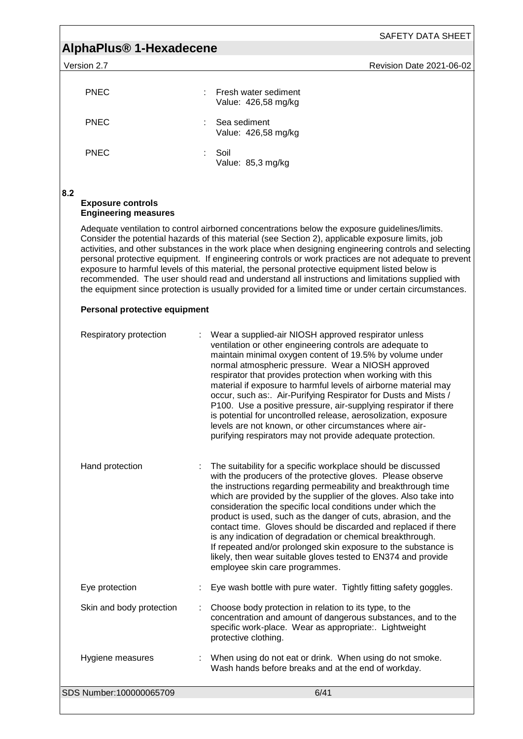SAFETY DATA SHEET

| Version 2 | <b>Revision Date 2021-06-02</b> |
|-----------|---------------------------------|
|           |                                 |

| <b>PNEC</b> | ÷. | Fresh water sediment<br>Value: 426,58 mg/kg |
|-------------|----|---------------------------------------------|
| <b>PNEC</b> |    | : Sea sediment<br>Value: 426,58 mg/kg       |
| <b>PNEC</b> | ۰. | Soil<br>Value: 85,3 mg/kg                   |

**8.2** 

### **Exposure controls Engineering measures**

Adequate ventilation to control airborned concentrations below the exposure guidelines/limits. Consider the potential hazards of this material (see Section 2), applicable exposure limits, job activities, and other substances in the work place when designing engineering controls and selecting personal protective equipment. If engineering controls or work practices are not adequate to prevent exposure to harmful levels of this material, the personal protective equipment listed below is recommended. The user should read and understand all instructions and limitations supplied with the equipment since protection is usually provided for a limited time or under certain circumstances.

### **Personal protective equipment**

| Respiratory protection   | Wear a supplied-air NIOSH approved respirator unless<br>ventilation or other engineering controls are adequate to<br>maintain minimal oxygen content of 19.5% by volume under<br>normal atmospheric pressure. Wear a NIOSH approved<br>respirator that provides protection when working with this<br>material if exposure to harmful levels of airborne material may<br>occur, such as:. Air-Purifying Respirator for Dusts and Mists /<br>P100. Use a positive pressure, air-supplying respirator if there<br>is potential for uncontrolled release, aerosolization, exposure<br>levels are not known, or other circumstances where air-<br>purifying respirators may not provide adequate protection. |
|--------------------------|---------------------------------------------------------------------------------------------------------------------------------------------------------------------------------------------------------------------------------------------------------------------------------------------------------------------------------------------------------------------------------------------------------------------------------------------------------------------------------------------------------------------------------------------------------------------------------------------------------------------------------------------------------------------------------------------------------|
| Hand protection          | The suitability for a specific workplace should be discussed<br>with the producers of the protective gloves. Please observe<br>the instructions regarding permeability and breakthrough time<br>which are provided by the supplier of the gloves. Also take into<br>consideration the specific local conditions under which the<br>product is used, such as the danger of cuts, abrasion, and the<br>contact time. Gloves should be discarded and replaced if there<br>is any indication of degradation or chemical breakthrough.<br>If repeated and/or prolonged skin exposure to the substance is<br>likely, then wear suitable gloves tested to EN374 and provide<br>employee skin care programmes.  |
| Eye protection           | Eye wash bottle with pure water. Tightly fitting safety goggles.                                                                                                                                                                                                                                                                                                                                                                                                                                                                                                                                                                                                                                        |
| Skin and body protection | Choose body protection in relation to its type, to the<br>concentration and amount of dangerous substances, and to the<br>specific work-place. Wear as appropriate:. Lightweight<br>protective clothing.                                                                                                                                                                                                                                                                                                                                                                                                                                                                                                |
| Hygiene measures         | When using do not eat or drink. When using do not smoke.<br>Wash hands before breaks and at the end of workday.                                                                                                                                                                                                                                                                                                                                                                                                                                                                                                                                                                                         |
| SDS Number:100000065709  | 6/41                                                                                                                                                                                                                                                                                                                                                                                                                                                                                                                                                                                                                                                                                                    |
|                          |                                                                                                                                                                                                                                                                                                                                                                                                                                                                                                                                                                                                                                                                                                         |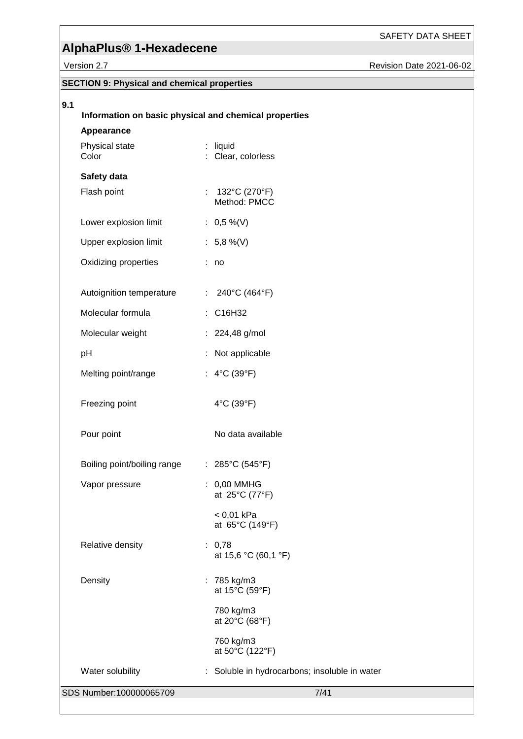SAFETY DATA SHEET

|     | Version 2.7                                        |                                                       | Revision Date 2021-06-02 |
|-----|----------------------------------------------------|-------------------------------------------------------|--------------------------|
|     | <b>SECTION 9: Physical and chemical properties</b> |                                                       |                          |
| 9.1 |                                                    |                                                       |                          |
|     |                                                    | Information on basic physical and chemical properties |                          |
|     | Appearance                                         |                                                       |                          |
|     | Physical state<br>Color                            | liquid<br>Clear, colorless                            |                          |
|     | Safety data                                        |                                                       |                          |
|     | Flash point                                        | : $132^{\circ}C(270^{\circ}F)$<br>Method: PMCC        |                          |
|     | Lower explosion limit                              | : $0,5\%$ (V)                                         |                          |
|     | Upper explosion limit                              | : $5,8\%$ (V)                                         |                          |
|     | Oxidizing properties                               | : no                                                  |                          |
|     | Autoignition temperature                           | 240°C (464°F)<br>÷.                                   |                          |
|     | Molecular formula                                  | : C16H32                                              |                          |
|     | Molecular weight                                   | : 224,48 g/mol                                        |                          |
|     | pH                                                 | Not applicable                                        |                          |
|     | Melting point/range                                | : $4^{\circ}C(39^{\circ}F)$                           |                          |
|     | Freezing point                                     | 4°C (39°F)                                            |                          |
|     | Pour point                                         | No data available                                     |                          |
|     | Boiling point/boiling range                        | : $285^{\circ}$ C (545 $^{\circ}$ F)                  |                          |
|     | Vapor pressure                                     | : 0,00 MMHG<br>at 25°C (77°F)                         |                          |
|     |                                                    | $< 0.01$ kPa<br>at 65°C (149°F)                       |                          |
|     | Relative density                                   | : 0,78<br>at 15,6 °C (60,1 °F)                        |                          |
|     | Density                                            | : 785 kg/m3<br>at 15°C (59°F)                         |                          |
|     |                                                    | 780 kg/m3<br>at 20°C (68°F)                           |                          |
|     |                                                    | 760 kg/m3<br>at 50°C (122°F)                          |                          |
|     | Water solubility                                   | : Soluble in hydrocarbons; insoluble in water         |                          |

SDS Number:100000065709 7/41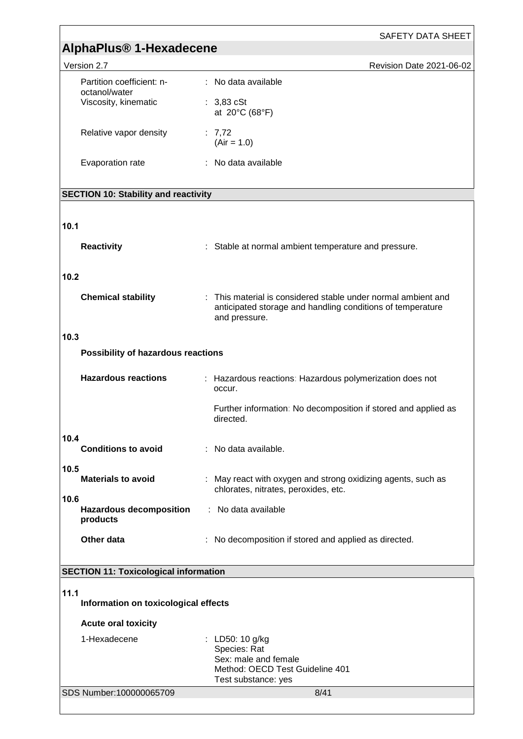|                                                    | <b>SAFETY DATA SHEET</b>                                                                                                                     |  |  |  |
|----------------------------------------------------|----------------------------------------------------------------------------------------------------------------------------------------------|--|--|--|
|                                                    | AlphaPlus <sup>®</sup> 1-Hexadecene                                                                                                          |  |  |  |
| Version 2.7                                        | Revision Date 2021-06-02                                                                                                                     |  |  |  |
| Partition coefficient: n-<br>octanol/water         | : No data available                                                                                                                          |  |  |  |
| Viscosity, kinematic                               | $: 3,83$ cSt<br>at 20°C (68°F)                                                                                                               |  |  |  |
| Relative vapor density                             | : $7,72$<br>$(Air = 1.0)$                                                                                                                    |  |  |  |
| Evaporation rate                                   | : No data available                                                                                                                          |  |  |  |
| <b>SECTION 10: Stability and reactivity</b>        |                                                                                                                                              |  |  |  |
| 10.1                                               |                                                                                                                                              |  |  |  |
| <b>Reactivity</b>                                  | : Stable at normal ambient temperature and pressure.                                                                                         |  |  |  |
| 10.2                                               |                                                                                                                                              |  |  |  |
| <b>Chemical stability</b>                          | : This material is considered stable under normal ambient and<br>anticipated storage and handling conditions of temperature<br>and pressure. |  |  |  |
| 10.3                                               |                                                                                                                                              |  |  |  |
| Possibility of hazardous reactions                 |                                                                                                                                              |  |  |  |
| <b>Hazardous reactions</b>                         | : Hazardous reactions: Hazardous polymerization does not<br>occur.                                                                           |  |  |  |
|                                                    | Further information: No decomposition if stored and applied as<br>directed.                                                                  |  |  |  |
| 10.4<br><b>Conditions to avoid</b>                 | : No data available.                                                                                                                         |  |  |  |
| 10.5<br><b>Materials to avoid</b>                  | : May react with oxygen and strong oxidizing agents, such as<br>chlorates, nitrates, peroxides, etc.                                         |  |  |  |
| 10.6<br><b>Hazardous decomposition</b><br>products | : No data available                                                                                                                          |  |  |  |
| Other data                                         | No decomposition if stored and applied as directed.                                                                                          |  |  |  |
| <b>SECTION 11: Toxicological information</b>       |                                                                                                                                              |  |  |  |
| 11.1                                               |                                                                                                                                              |  |  |  |
| Information on toxicological effects               |                                                                                                                                              |  |  |  |
| <b>Acute oral toxicity</b>                         |                                                                                                                                              |  |  |  |
| 1-Hexadecene                                       | : LD50: 10 g/kg<br>Species: Rat<br>Sex: male and female<br>Method: OECD Test Guideline 401<br>Test substance: yes                            |  |  |  |
| SDS Number:100000065709                            | 8/41                                                                                                                                         |  |  |  |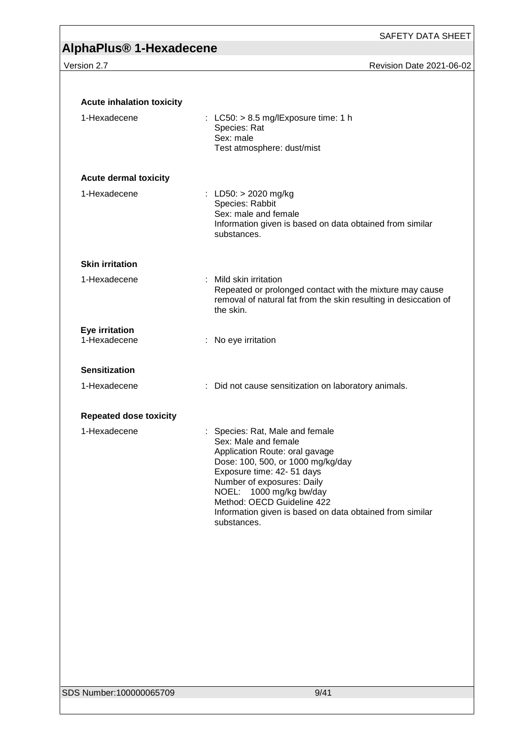| <b>Acute inhalation toxicity</b> |                                                                                                                                                                                                                                                                                                                                |
|----------------------------------|--------------------------------------------------------------------------------------------------------------------------------------------------------------------------------------------------------------------------------------------------------------------------------------------------------------------------------|
| 1-Hexadecene                     | : LC50: $> 8.5$ mg/lExposure time: 1 h<br>Species: Rat<br>Sex: male<br>Test atmosphere: dust/mist                                                                                                                                                                                                                              |
| <b>Acute dermal toxicity</b>     |                                                                                                                                                                                                                                                                                                                                |
| 1-Hexadecene                     | : LD50: $> 2020$ mg/kg<br>Species: Rabbit<br>Sex: male and female<br>Information given is based on data obtained from similar<br>substances.                                                                                                                                                                                   |
| <b>Skin irritation</b>           |                                                                                                                                                                                                                                                                                                                                |
| 1-Hexadecene                     | : Mild skin irritation<br>Repeated or prolonged contact with the mixture may cause<br>removal of natural fat from the skin resulting in desiccation of<br>the skin.                                                                                                                                                            |
| Eye irritation<br>1-Hexadecene   | : No eye irritation                                                                                                                                                                                                                                                                                                            |
| <b>Sensitization</b>             |                                                                                                                                                                                                                                                                                                                                |
| 1-Hexadecene                     | : Did not cause sensitization on laboratory animals.                                                                                                                                                                                                                                                                           |
| <b>Repeated dose toxicity</b>    |                                                                                                                                                                                                                                                                                                                                |
| 1-Hexadecene                     | : Species: Rat, Male and female<br>Sex: Male and female<br>Application Route: oral gavage<br>Dose: 100, 500, or 1000 mg/kg/day<br>Exposure time: 42- 51 days<br>Number of exposures: Daily<br>NOEL: 1000 mg/kg bw/day<br>Method: OECD Guideline 422<br>Information given is based on data obtained from similar<br>substances. |
|                                  |                                                                                                                                                                                                                                                                                                                                |
|                                  |                                                                                                                                                                                                                                                                                                                                |
|                                  |                                                                                                                                                                                                                                                                                                                                |
|                                  |                                                                                                                                                                                                                                                                                                                                |
|                                  |                                                                                                                                                                                                                                                                                                                                |
| SDS Number:100000065709          | 9/41                                                                                                                                                                                                                                                                                                                           |
|                                  |                                                                                                                                                                                                                                                                                                                                |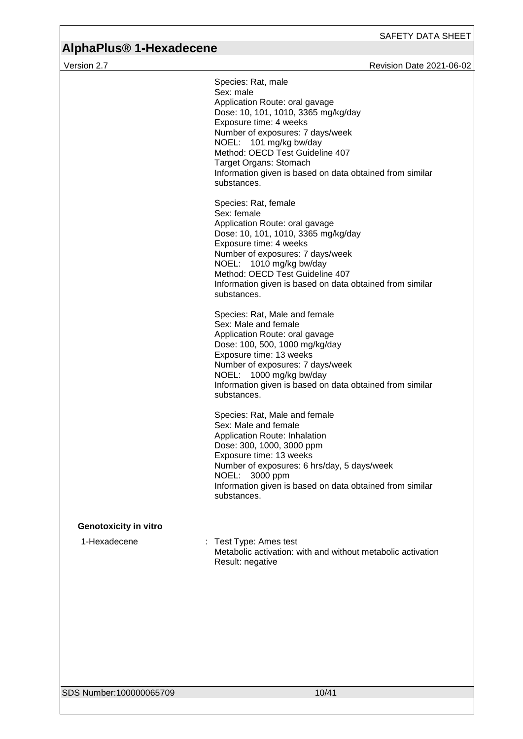|                              | Species: Rat, male<br>Sex: male<br>Application Route: oral gavage<br>Dose: 10, 101, 1010, 3365 mg/kg/day<br>Exposure time: 4 weeks<br>Number of exposures: 7 days/week<br>NOEL: 101 mg/kg bw/day<br>Method: OECD Test Guideline 407<br>Target Organs: Stomach<br>Information given is based on data obtained from similar<br>substances. |
|------------------------------|------------------------------------------------------------------------------------------------------------------------------------------------------------------------------------------------------------------------------------------------------------------------------------------------------------------------------------------|
|                              | Species: Rat, female<br>Sex: female<br>Application Route: oral gavage<br>Dose: 10, 101, 1010, 3365 mg/kg/day<br>Exposure time: 4 weeks<br>Number of exposures: 7 days/week<br>NOEL: 1010 mg/kg bw/day<br>Method: OECD Test Guideline 407<br>Information given is based on data obtained from similar<br>substances.                      |
|                              | Species: Rat, Male and female<br>Sex: Male and female<br>Application Route: oral gavage<br>Dose: 100, 500, 1000 mg/kg/day<br>Exposure time: 13 weeks<br>Number of exposures: 7 days/week<br>NOEL: 1000 mg/kg bw/day<br>Information given is based on data obtained from similar<br>substances.                                           |
|                              | Species: Rat, Male and female<br>Sex: Male and female<br>Application Route: Inhalation<br>Dose: 300, 1000, 3000 ppm<br>Exposure time: 13 weeks<br>Number of exposures: 6 hrs/day, 5 days/week<br>NOEL: 3000 ppm<br>Information given is based on data obtained from similar<br>substances.                                               |
| <b>Genotoxicity in vitro</b> |                                                                                                                                                                                                                                                                                                                                          |
| 1-Hexadecene                 | : Test Type: Ames test<br>Metabolic activation: with and without metabolic activation<br>Result: negative                                                                                                                                                                                                                                |
|                              |                                                                                                                                                                                                                                                                                                                                          |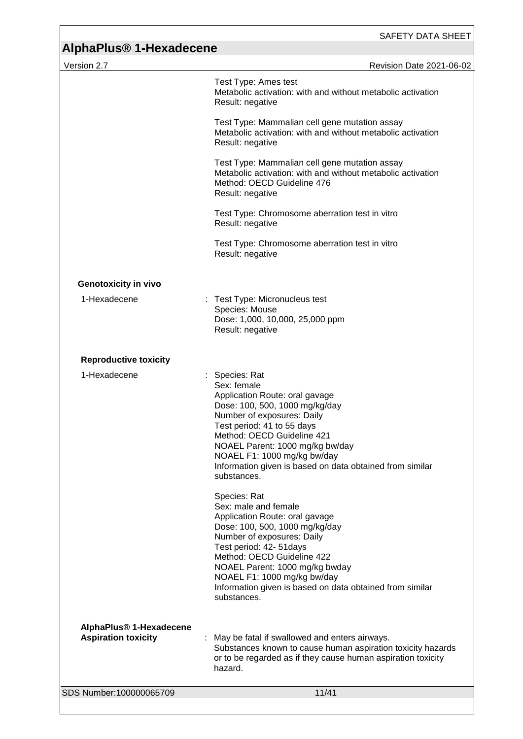# **AlphaPlus® 1-Hexadecene**

| Version 2.7                                                       | <b>Revision Date 2021-06-02</b>                                                                                                                                                                                                                                                                                                              |
|-------------------------------------------------------------------|----------------------------------------------------------------------------------------------------------------------------------------------------------------------------------------------------------------------------------------------------------------------------------------------------------------------------------------------|
|                                                                   | Test Type: Ames test<br>Metabolic activation: with and without metabolic activation<br>Result: negative                                                                                                                                                                                                                                      |
|                                                                   | Test Type: Mammalian cell gene mutation assay<br>Metabolic activation: with and without metabolic activation<br>Result: negative                                                                                                                                                                                                             |
|                                                                   | Test Type: Mammalian cell gene mutation assay<br>Metabolic activation: with and without metabolic activation<br>Method: OECD Guideline 476<br>Result: negative                                                                                                                                                                               |
|                                                                   | Test Type: Chromosome aberration test in vitro<br>Result: negative                                                                                                                                                                                                                                                                           |
|                                                                   | Test Type: Chromosome aberration test in vitro<br>Result: negative                                                                                                                                                                                                                                                                           |
| <b>Genotoxicity in vivo</b>                                       |                                                                                                                                                                                                                                                                                                                                              |
| 1-Hexadecene                                                      | : Test Type: Micronucleus test<br>Species: Mouse<br>Dose: 1,000, 10,000, 25,000 ppm<br>Result: negative                                                                                                                                                                                                                                      |
| <b>Reproductive toxicity</b>                                      |                                                                                                                                                                                                                                                                                                                                              |
| 1-Hexadecene                                                      | : Species: Rat<br>Sex: female<br>Application Route: oral gavage<br>Dose: 100, 500, 1000 mg/kg/day<br>Number of exposures: Daily<br>Test period: 41 to 55 days<br>Method: OECD Guideline 421<br>NOAEL Parent: 1000 mg/kg bw/day<br>NOAEL F1: 1000 mg/kg bw/day<br>Information given is based on data obtained from similar<br>substances.     |
|                                                                   | Species: Rat<br>Sex: male and female<br>Application Route: oral gavage<br>Dose: 100, 500, 1000 mg/kg/day<br>Number of exposures: Daily<br>Test period: 42- 51 days<br>Method: OECD Guideline 422<br>NOAEL Parent: 1000 mg/kg bwday<br>NOAEL F1: 1000 mg/kg bw/day<br>Information given is based on data obtained from similar<br>substances. |
| AlphaPlus <sup>®</sup> 1-Hexadecene<br><b>Aspiration toxicity</b> | May be fatal if swallowed and enters airways.<br>÷<br>Substances known to cause human aspiration toxicity hazards<br>or to be regarded as if they cause human aspiration toxicity<br>hazard.                                                                                                                                                 |
| SDS Number:100000065709                                           | 11/41                                                                                                                                                                                                                                                                                                                                        |
|                                                                   |                                                                                                                                                                                                                                                                                                                                              |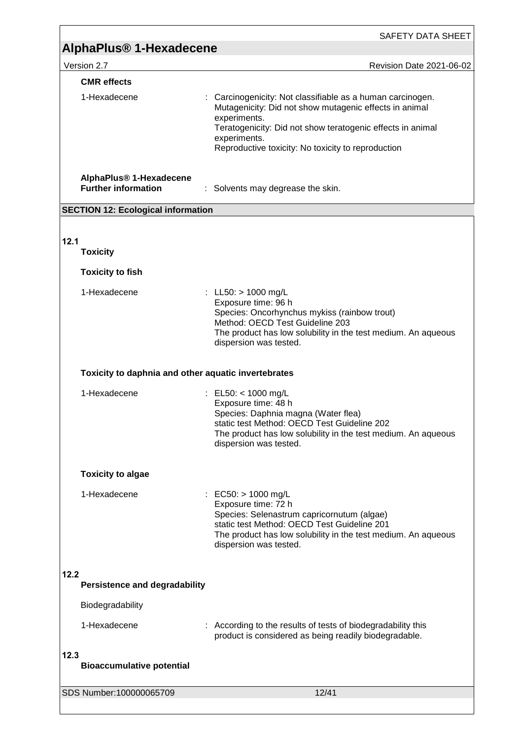|                                                                   | SAFETY DATA SHEET                                                                                                                                                                                                                                                        |  |
|-------------------------------------------------------------------|--------------------------------------------------------------------------------------------------------------------------------------------------------------------------------------------------------------------------------------------------------------------------|--|
| AlphaPlus <sup>®</sup> 1-Hexadecene                               |                                                                                                                                                                                                                                                                          |  |
| Version 2.7                                                       | <b>Revision Date 2021-06-02</b>                                                                                                                                                                                                                                          |  |
| <b>CMR</b> effects<br>1-Hexadecene                                | : Carcinogenicity: Not classifiable as a human carcinogen.<br>Mutagenicity: Did not show mutagenic effects in animal<br>experiments.<br>Teratogenicity: Did not show teratogenic effects in animal<br>experiments.<br>Reproductive toxicity: No toxicity to reproduction |  |
| AlphaPlus <sup>®</sup> 1-Hexadecene<br><b>Further information</b> | : Solvents may degrease the skin.                                                                                                                                                                                                                                        |  |
| <b>SECTION 12: Ecological information</b>                         |                                                                                                                                                                                                                                                                          |  |
| 12.1<br><b>Toxicity</b>                                           |                                                                                                                                                                                                                                                                          |  |
| <b>Toxicity to fish</b>                                           |                                                                                                                                                                                                                                                                          |  |
| 1-Hexadecene                                                      | : LL50: $> 1000$ mg/L<br>Exposure time: 96 h<br>Species: Oncorhynchus mykiss (rainbow trout)<br>Method: OECD Test Guideline 203<br>The product has low solubility in the test medium. An aqueous<br>dispersion was tested.                                               |  |
| Toxicity to daphnia and other aquatic invertebrates               |                                                                                                                                                                                                                                                                          |  |
| 1-Hexadecene                                                      | : EL50: < $1000 \text{ mg/L}$<br>Exposure time: 48 h<br>Species: Daphnia magna (Water flea)<br>static test Method: OECD Test Guideline 202<br>The product has low solubility in the test medium. An aqueous<br>dispersion was tested.                                    |  |
| <b>Toxicity to algae</b>                                          |                                                                                                                                                                                                                                                                          |  |
| 1-Hexadecene                                                      | : EC50: $> 1000$ mg/L<br>Exposure time: 72 h<br>Species: Selenastrum capricornutum (algae)<br>static test Method: OECD Test Guideline 201<br>The product has low solubility in the test medium. An aqueous<br>dispersion was tested.                                     |  |
| 12.2<br><b>Persistence and degradability</b>                      |                                                                                                                                                                                                                                                                          |  |
| Biodegradability                                                  |                                                                                                                                                                                                                                                                          |  |
| 1-Hexadecene                                                      | According to the results of tests of biodegradability this<br>product is considered as being readily biodegradable.                                                                                                                                                      |  |
| 12.3<br><b>Bioaccumulative potential</b>                          |                                                                                                                                                                                                                                                                          |  |
| SDS Number:100000065709                                           | 12/41                                                                                                                                                                                                                                                                    |  |
|                                                                   |                                                                                                                                                                                                                                                                          |  |

<u> 1989 - Johann Barn, mars ar breithinn ar chuid ann an t-Alban ann an t-Alban ann an t-Alban ann an t-Alban a</u>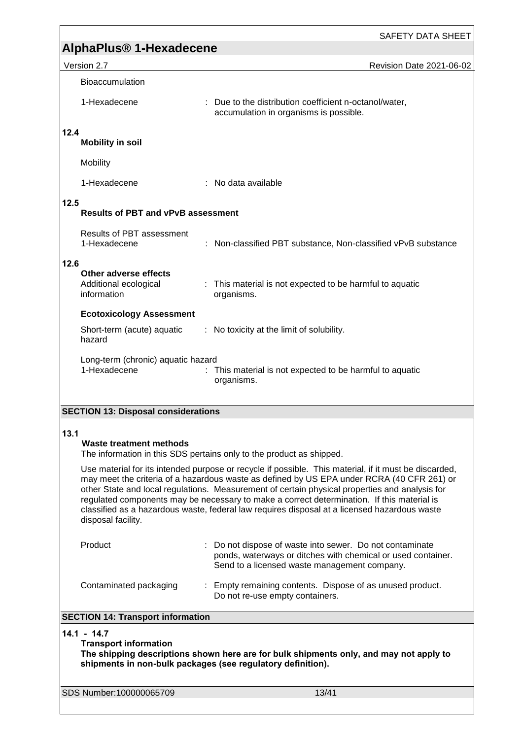|                                                                                                                                                                                                        | <b>SAFETY DATA SHEET</b>                                                                                                                                                                                                                                                                                                                                                                                                                                                                            |  |  |
|--------------------------------------------------------------------------------------------------------------------------------------------------------------------------------------------------------|-----------------------------------------------------------------------------------------------------------------------------------------------------------------------------------------------------------------------------------------------------------------------------------------------------------------------------------------------------------------------------------------------------------------------------------------------------------------------------------------------------|--|--|
| <b>AlphaPlus<sup>®</sup> 1-Hexadecene</b>                                                                                                                                                              |                                                                                                                                                                                                                                                                                                                                                                                                                                                                                                     |  |  |
| Version 2.7                                                                                                                                                                                            | <b>Revision Date 2021-06-02</b>                                                                                                                                                                                                                                                                                                                                                                                                                                                                     |  |  |
| <b>Bioaccumulation</b>                                                                                                                                                                                 |                                                                                                                                                                                                                                                                                                                                                                                                                                                                                                     |  |  |
| 1-Hexadecene                                                                                                                                                                                           | : Due to the distribution coefficient n-octanol/water,<br>accumulation in organisms is possible.                                                                                                                                                                                                                                                                                                                                                                                                    |  |  |
| 12.4<br><b>Mobility in soil</b>                                                                                                                                                                        |                                                                                                                                                                                                                                                                                                                                                                                                                                                                                                     |  |  |
| Mobility                                                                                                                                                                                               |                                                                                                                                                                                                                                                                                                                                                                                                                                                                                                     |  |  |
| 1-Hexadecene                                                                                                                                                                                           | : No data available                                                                                                                                                                                                                                                                                                                                                                                                                                                                                 |  |  |
| 12.5<br><b>Results of PBT and vPvB assessment</b>                                                                                                                                                      |                                                                                                                                                                                                                                                                                                                                                                                                                                                                                                     |  |  |
| <b>Results of PBT assessment</b><br>1-Hexadecene                                                                                                                                                       | : Non-classified PBT substance, Non-classified vPvB substance                                                                                                                                                                                                                                                                                                                                                                                                                                       |  |  |
| 12.6<br>Other adverse effects<br>Additional ecological<br>information                                                                                                                                  | : This material is not expected to be harmful to aquatic<br>organisms.                                                                                                                                                                                                                                                                                                                                                                                                                              |  |  |
| <b>Ecotoxicology Assessment</b>                                                                                                                                                                        |                                                                                                                                                                                                                                                                                                                                                                                                                                                                                                     |  |  |
| Short-term (acute) aquatic<br>hazard                                                                                                                                                                   | : No toxicity at the limit of solubility.                                                                                                                                                                                                                                                                                                                                                                                                                                                           |  |  |
| Long-term (chronic) aquatic hazard<br>1-Hexadecene<br>This material is not expected to be harmful to aquatic<br>organisms.                                                                             |                                                                                                                                                                                                                                                                                                                                                                                                                                                                                                     |  |  |
| <b>SECTION 13: Disposal considerations</b>                                                                                                                                                             |                                                                                                                                                                                                                                                                                                                                                                                                                                                                                                     |  |  |
| 13.1<br><b>Waste treatment methods</b>                                                                                                                                                                 | The information in this SDS pertains only to the product as shipped.                                                                                                                                                                                                                                                                                                                                                                                                                                |  |  |
| disposal facility.                                                                                                                                                                                     | Use material for its intended purpose or recycle if possible. This material, if it must be discarded,<br>may meet the criteria of a hazardous waste as defined by US EPA under RCRA (40 CFR 261) or<br>other State and local regulations. Measurement of certain physical properties and analysis for<br>regulated components may be necessary to make a correct determination. If this material is<br>classified as a hazardous waste, federal law requires disposal at a licensed hazardous waste |  |  |
| Product                                                                                                                                                                                                | Do not dispose of waste into sewer. Do not contaminate<br>ponds, waterways or ditches with chemical or used container.<br>Send to a licensed waste management company.                                                                                                                                                                                                                                                                                                                              |  |  |
| Contaminated packaging                                                                                                                                                                                 | Empty remaining contents. Dispose of as unused product.<br>Do not re-use empty containers.                                                                                                                                                                                                                                                                                                                                                                                                          |  |  |
| <b>SECTION 14: Transport information</b>                                                                                                                                                               |                                                                                                                                                                                                                                                                                                                                                                                                                                                                                                     |  |  |
| $14.1 - 14.7$<br><b>Transport information</b><br>The shipping descriptions shown here are for bulk shipments only, and may not apply to<br>shipments in non-bulk packages (see regulatory definition). |                                                                                                                                                                                                                                                                                                                                                                                                                                                                                                     |  |  |
| SDS Number:100000065709                                                                                                                                                                                | 13/41                                                                                                                                                                                                                                                                                                                                                                                                                                                                                               |  |  |
|                                                                                                                                                                                                        |                                                                                                                                                                                                                                                                                                                                                                                                                                                                                                     |  |  |

<u> 1989 - Johann Stoff, deutscher Stoff, der Stoff, der Stoff, der Stoff, der Stoff, der Stoff, der Stoff, der S</u>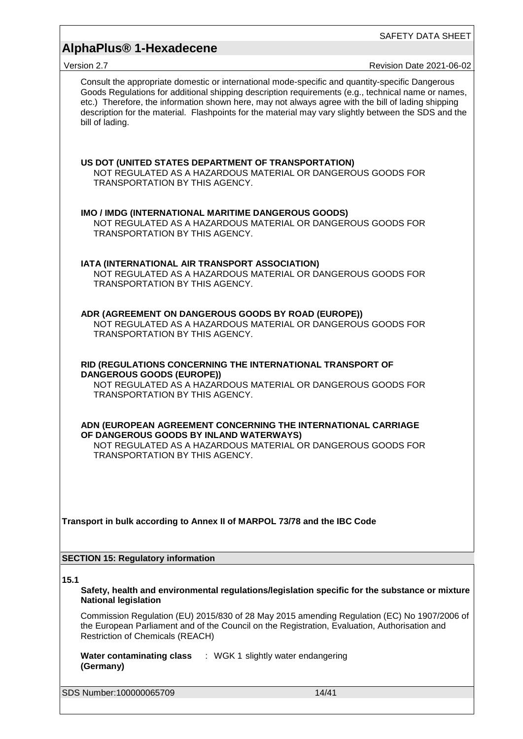# **AlphaPlus® 1-Hexadecene**

| 75131011 Z. <i>I</i>                                                                                                             | NEVISIUII DAIE ZUZ I-UU-UZ                                                                                                                                                                                                                                                                                                                                                                                          |
|----------------------------------------------------------------------------------------------------------------------------------|---------------------------------------------------------------------------------------------------------------------------------------------------------------------------------------------------------------------------------------------------------------------------------------------------------------------------------------------------------------------------------------------------------------------|
| bill of lading.                                                                                                                  | Consult the appropriate domestic or international mode-specific and quantity-specific Dangerous<br>Goods Regulations for additional shipping description requirements (e.g., technical name or names,<br>etc.) Therefore, the information shown here, may not always agree with the bill of lading shipping<br>description for the material. Flashpoints for the material may vary slightly between the SDS and the |
| US DOT (UNITED STATES DEPARTMENT OF TRANSPORTATION)<br><b>TRANSPORTATION BY THIS AGENCY.</b>                                     | NOT REGULATED AS A HAZARDOUS MATERIAL OR DANGEROUS GOODS FOR                                                                                                                                                                                                                                                                                                                                                        |
| IMO / IMDG (INTERNATIONAL MARITIME DANGEROUS GOODS)<br>TRANSPORTATION BY THIS AGENCY.                                            | NOT REGULATED AS A HAZARDOUS MATERIAL OR DANGEROUS GOODS FOR                                                                                                                                                                                                                                                                                                                                                        |
| IATA (INTERNATIONAL AIR TRANSPORT ASSOCIATION)<br>TRANSPORTATION BY THIS AGENCY.                                                 | NOT REGULATED AS A HAZARDOUS MATERIAL OR DANGEROUS GOODS FOR                                                                                                                                                                                                                                                                                                                                                        |
| ADR (AGREEMENT ON DANGEROUS GOODS BY ROAD (EUROPE))<br>TRANSPORTATION BY THIS AGENCY.                                            | NOT REGULATED AS A HAZARDOUS MATERIAL OR DANGEROUS GOODS FOR                                                                                                                                                                                                                                                                                                                                                        |
| RID (REGULATIONS CONCERNING THE INTERNATIONAL TRANSPORT OF<br><b>DANGEROUS GOODS (EUROPE))</b><br>TRANSPORTATION BY THIS AGENCY. | NOT REGULATED AS A HAZARDOUS MATERIAL OR DANGEROUS GOODS FOR                                                                                                                                                                                                                                                                                                                                                        |
| OF DANGEROUS GOODS BY INLAND WATERWAYS)<br><b>TRANSPORTATION BY THIS AGENCY.</b>                                                 | ADN (EUROPEAN AGREEMENT CONCERNING THE INTERNATIONAL CARRIAGE<br>NOT REGULATED AS A HAZARDOUS MATERIAL OR DANGEROUS GOODS FOR                                                                                                                                                                                                                                                                                       |
| Transport in bulk according to Annex II of MARPOL 73/78 and the IBC Code                                                         |                                                                                                                                                                                                                                                                                                                                                                                                                     |
| <b>SECTION 15: Regulatory information</b>                                                                                        |                                                                                                                                                                                                                                                                                                                                                                                                                     |
| 15.1<br><b>National legislation</b>                                                                                              | Safety, health and environmental regulations/legislation specific for the substance or mixture                                                                                                                                                                                                                                                                                                                      |
| <b>Restriction of Chemicals (REACH)</b>                                                                                          | Commission Regulation (EU) 2015/830 of 28 May 2015 amending Regulation (EC) No 1907/2006 of<br>the European Parliament and of the Council on the Registration, Evaluation, Authorisation and                                                                                                                                                                                                                        |
| Water contaminating class : WGK 1 slightly water endangering<br>(Germany)                                                        |                                                                                                                                                                                                                                                                                                                                                                                                                     |
| SDS Number:100000065709                                                                                                          | 14/41                                                                                                                                                                                                                                                                                                                                                                                                               |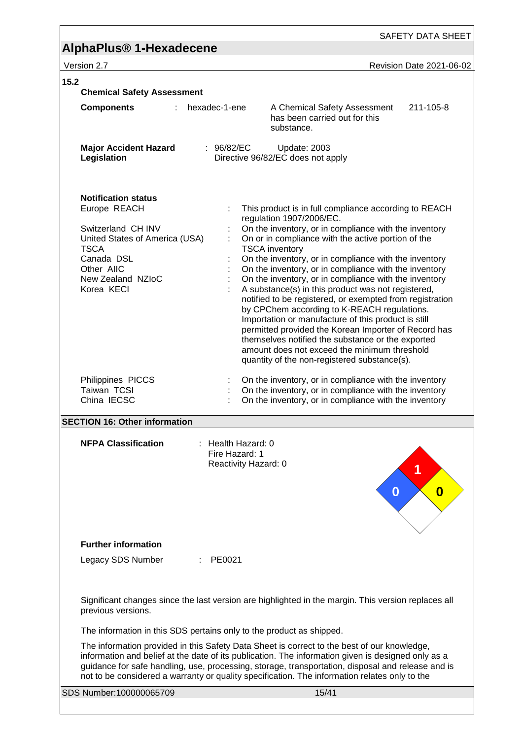# **AlphaPlus® 1-Hexadecene**

| 15.2<br><b>Chemical Safety Assessment</b>                                                                                                                                        |                                                                                                                                                                                                                                                                                                                                                                                                         |                                                                                                                                                                                                                                                                                                                                                                                                                                                                                                                                                                                                                                                                                                                                                                                                                                           |           |  |
|----------------------------------------------------------------------------------------------------------------------------------------------------------------------------------|---------------------------------------------------------------------------------------------------------------------------------------------------------------------------------------------------------------------------------------------------------------------------------------------------------------------------------------------------------------------------------------------------------|-------------------------------------------------------------------------------------------------------------------------------------------------------------------------------------------------------------------------------------------------------------------------------------------------------------------------------------------------------------------------------------------------------------------------------------------------------------------------------------------------------------------------------------------------------------------------------------------------------------------------------------------------------------------------------------------------------------------------------------------------------------------------------------------------------------------------------------------|-----------|--|
| <b>Components</b><br>÷.                                                                                                                                                          | hexadec-1-ene                                                                                                                                                                                                                                                                                                                                                                                           | A Chemical Safety Assessment<br>has been carried out for this<br>substance.                                                                                                                                                                                                                                                                                                                                                                                                                                                                                                                                                                                                                                                                                                                                                               | 211-105-8 |  |
| <b>Major Accident Hazard</b><br>Legislation                                                                                                                                      | : $96/82/EC$                                                                                                                                                                                                                                                                                                                                                                                            | Update: 2003<br>Directive 96/82/EC does not apply                                                                                                                                                                                                                                                                                                                                                                                                                                                                                                                                                                                                                                                                                                                                                                                         |           |  |
| <b>Notification status</b><br>Europe REACH<br>Switzerland CH INV<br>United States of America (USA)<br><b>TSCA</b><br>Canada DSL<br>Other AIIC<br>New Zealand NZIoC<br>Korea KECI |                                                                                                                                                                                                                                                                                                                                                                                                         | This product is in full compliance according to REACH<br>regulation 1907/2006/EC.<br>On the inventory, or in compliance with the inventory<br>On or in compliance with the active portion of the<br><b>TSCA</b> inventory<br>On the inventory, or in compliance with the inventory<br>On the inventory, or in compliance with the inventory<br>On the inventory, or in compliance with the inventory<br>A substance(s) in this product was not registered,<br>notified to be registered, or exempted from registration<br>by CPChem according to K-REACH regulations.<br>Importation or manufacture of this product is still<br>permitted provided the Korean Importer of Record has<br>themselves notified the substance or the exported<br>amount does not exceed the minimum threshold<br>quantity of the non-registered substance(s). |           |  |
| Philippines PICCS<br>Taiwan TCSI<br>China IECSC                                                                                                                                  |                                                                                                                                                                                                                                                                                                                                                                                                         | On the inventory, or in compliance with the inventory<br>On the inventory, or in compliance with the inventory<br>On the inventory, or in compliance with the inventory                                                                                                                                                                                                                                                                                                                                                                                                                                                                                                                                                                                                                                                                   |           |  |
| <b>SECTION 16: Other information</b>                                                                                                                                             |                                                                                                                                                                                                                                                                                                                                                                                                         |                                                                                                                                                                                                                                                                                                                                                                                                                                                                                                                                                                                                                                                                                                                                                                                                                                           |           |  |
| <b>NFPA Classification</b>                                                                                                                                                       | : Health Hazard: 0<br>Fire Hazard: 1<br>Reactivity Hazard: 0                                                                                                                                                                                                                                                                                                                                            | O                                                                                                                                                                                                                                                                                                                                                                                                                                                                                                                                                                                                                                                                                                                                                                                                                                         | 0         |  |
| <b>Further information</b>                                                                                                                                                       |                                                                                                                                                                                                                                                                                                                                                                                                         |                                                                                                                                                                                                                                                                                                                                                                                                                                                                                                                                                                                                                                                                                                                                                                                                                                           |           |  |
| Legacy SDS Number                                                                                                                                                                | PE0021                                                                                                                                                                                                                                                                                                                                                                                                  |                                                                                                                                                                                                                                                                                                                                                                                                                                                                                                                                                                                                                                                                                                                                                                                                                                           |           |  |
| previous versions.                                                                                                                                                               | Significant changes since the last version are highlighted in the margin. This version replaces all                                                                                                                                                                                                                                                                                                     |                                                                                                                                                                                                                                                                                                                                                                                                                                                                                                                                                                                                                                                                                                                                                                                                                                           |           |  |
| The information in this SDS pertains only to the product as shipped.                                                                                                             |                                                                                                                                                                                                                                                                                                                                                                                                         |                                                                                                                                                                                                                                                                                                                                                                                                                                                                                                                                                                                                                                                                                                                                                                                                                                           |           |  |
|                                                                                                                                                                                  | The information provided in this Safety Data Sheet is correct to the best of our knowledge,<br>information and belief at the date of its publication. The information given is designed only as a<br>guidance for safe handling, use, processing, storage, transportation, disposal and release and is<br>not to be considered a warranty or quality specification. The information relates only to the |                                                                                                                                                                                                                                                                                                                                                                                                                                                                                                                                                                                                                                                                                                                                                                                                                                           |           |  |
| SDS Number:100000065709                                                                                                                                                          |                                                                                                                                                                                                                                                                                                                                                                                                         | 15/41                                                                                                                                                                                                                                                                                                                                                                                                                                                                                                                                                                                                                                                                                                                                                                                                                                     |           |  |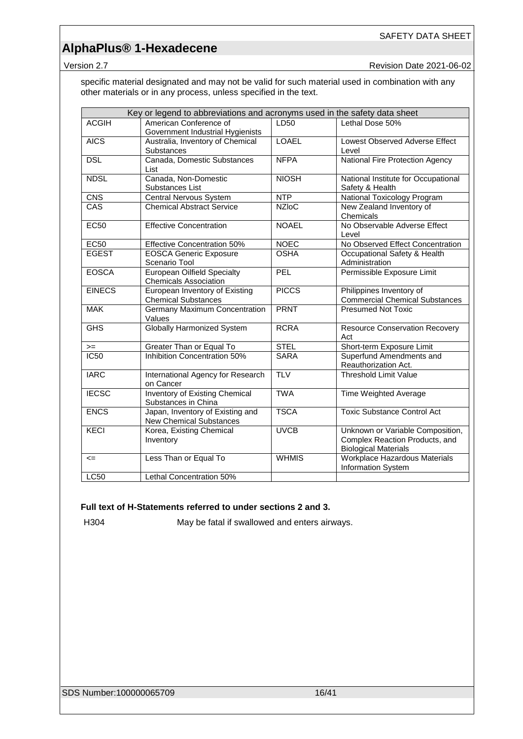Version 2.7 **New Search 2021-06-02** Revision Date 2021-06-02

specific material designated and may not be valid for such material used in combination with any other materials or in any process, unless specified in the text.

|               | Key or legend to abbreviations and acronyms used in the safety data sheet |              |                                                                                                   |
|---------------|---------------------------------------------------------------------------|--------------|---------------------------------------------------------------------------------------------------|
| <b>ACGIH</b>  | American Conference of<br>Government Industrial Hygienists                | LD50         | Lethal Dose 50%                                                                                   |
| <b>AICS</b>   | Australia, Inventory of Chemical<br><b>Substances</b>                     | <b>LOAEL</b> | Lowest Observed Adverse Effect<br>Level                                                           |
| <b>DSL</b>    | Canada, Domestic Substances<br>List                                       | <b>NFPA</b>  | National Fire Protection Agency                                                                   |
| <b>NDSL</b>   | Canada, Non-Domestic<br>Substances List                                   | <b>NIOSH</b> | National Institute for Occupational<br>Safety & Health                                            |
| CNS           | Central Nervous System                                                    | <b>NTP</b>   | National Toxicology Program                                                                       |
| CAS           | <b>Chemical Abstract Service</b>                                          | <b>NZIoC</b> | New Zealand Inventory of<br>Chemicals                                                             |
| <b>EC50</b>   | <b>Effective Concentration</b>                                            | <b>NOAEL</b> | No Observable Adverse Effect<br>Level                                                             |
| <b>EC50</b>   | <b>Effective Concentration 50%</b>                                        | <b>NOEC</b>  | No Observed Effect Concentration                                                                  |
| <b>EGEST</b>  | <b>EOSCA Generic Exposure</b><br>Scenario Tool                            | <b>OSHA</b>  | Occupational Safety & Health<br>Administration                                                    |
| <b>EOSCA</b>  | <b>European Oilfield Specialty</b><br><b>Chemicals Association</b>        | PEL          | Permissible Exposure Limit                                                                        |
| <b>EINECS</b> | European Inventory of Existing<br><b>Chemical Substances</b>              | <b>PICCS</b> | Philippines Inventory of<br><b>Commercial Chemical Substances</b>                                 |
| <b>MAK</b>    | Germany Maximum Concentration<br>Values                                   | <b>PRNT</b>  | <b>Presumed Not Toxic</b>                                                                         |
| <b>GHS</b>    | <b>Globally Harmonized System</b>                                         | <b>RCRA</b>  | <b>Resource Conservation Recovery</b><br>Act                                                      |
| $>=$          | Greater Than or Equal To                                                  | <b>STEL</b>  | Short-term Exposure Limit                                                                         |
| <b>IC50</b>   | Inhibition Concentration 50%                                              | <b>SARA</b>  | Superfund Amendments and<br>Reauthorization Act.                                                  |
| <b>IARC</b>   | International Agency for Research<br>on Cancer                            | <b>TLV</b>   | <b>Threshold Limit Value</b>                                                                      |
| <b>IECSC</b>  | <b>Inventory of Existing Chemical</b><br>Substances in China              | <b>TWA</b>   | Time Weighted Average                                                                             |
| <b>ENCS</b>   | Japan, Inventory of Existing and<br><b>New Chemical Substances</b>        | <b>TSCA</b>  | <b>Toxic Substance Control Act</b>                                                                |
| <b>KECI</b>   | Korea, Existing Chemical<br>Inventory                                     | <b>UVCB</b>  | Unknown or Variable Composition,<br>Complex Reaction Products, and<br><b>Biological Materials</b> |
| $\leq$        | Less Than or Equal To                                                     | <b>WHMIS</b> | Workplace Hazardous Materials<br>Information System                                               |
| <b>LC50</b>   | Lethal Concentration 50%                                                  |              |                                                                                                   |

### **Full text of H-Statements referred to under sections 2 and 3.**

H304 May be fatal if swallowed and enters airways.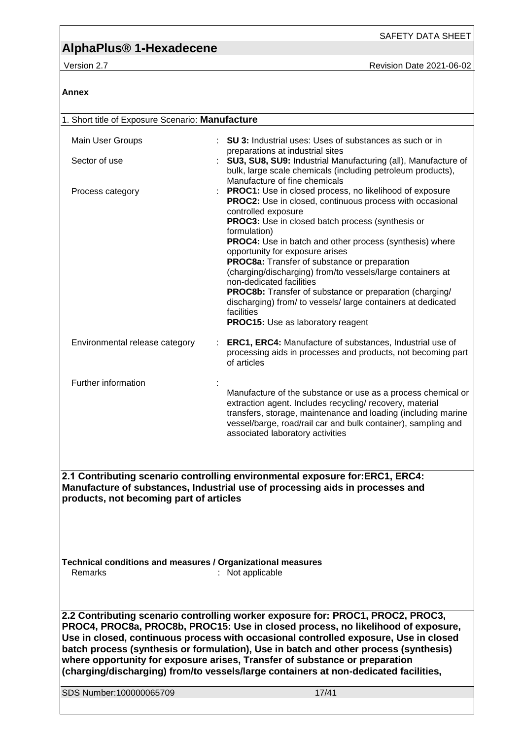**Annex**

SAFETY DATA SHEET

| 1. Short title of Exposure Scenario: Manufacture                                                                                                                                                                                                                                                                                                                                                                                                                                                                           |                                                                                                                                                                                                                                                                                                                   |  |
|----------------------------------------------------------------------------------------------------------------------------------------------------------------------------------------------------------------------------------------------------------------------------------------------------------------------------------------------------------------------------------------------------------------------------------------------------------------------------------------------------------------------------|-------------------------------------------------------------------------------------------------------------------------------------------------------------------------------------------------------------------------------------------------------------------------------------------------------------------|--|
| Main User Groups                                                                                                                                                                                                                                                                                                                                                                                                                                                                                                           | <b>SU 3:</b> Industrial uses: Uses of substances as such or in                                                                                                                                                                                                                                                    |  |
| Sector of use                                                                                                                                                                                                                                                                                                                                                                                                                                                                                                              | preparations at industrial sites<br>SU3, SU8, SU9: Industrial Manufacturing (all), Manufacture of<br>bulk, large scale chemicals (including petroleum products),                                                                                                                                                  |  |
| Process category                                                                                                                                                                                                                                                                                                                                                                                                                                                                                                           | Manufacture of fine chemicals<br>PROC1: Use in closed process, no likelihood of exposure<br>PROC2: Use in closed, continuous process with occasional<br>controlled exposure<br>PROC3: Use in closed batch process (synthesis or<br>formulation)<br><b>PROC4:</b> Use in batch and other process (synthesis) where |  |
|                                                                                                                                                                                                                                                                                                                                                                                                                                                                                                                            | opportunity for exposure arises<br>PROC8a: Transfer of substance or preparation<br>(charging/discharging) from/to vessels/large containers at<br>non-dedicated facilities<br><b>PROC8b:</b> Transfer of substance or preparation (charging/<br>discharging) from/ to vessels/ large containers at dedicated       |  |
|                                                                                                                                                                                                                                                                                                                                                                                                                                                                                                                            | facilities<br><b>PROC15:</b> Use as laboratory reagent                                                                                                                                                                                                                                                            |  |
| Environmental release category                                                                                                                                                                                                                                                                                                                                                                                                                                                                                             | ERC1, ERC4: Manufacture of substances, Industrial use of<br>processing aids in processes and products, not becoming part<br>of articles                                                                                                                                                                           |  |
| Further information                                                                                                                                                                                                                                                                                                                                                                                                                                                                                                        | Manufacture of the substance or use as a process chemical or<br>extraction agent. Includes recycling/ recovery, material<br>transfers, storage, maintenance and loading (including marine<br>vessel/barge, road/rail car and bulk container), sampling and<br>associated laboratory activities                    |  |
|                                                                                                                                                                                                                                                                                                                                                                                                                                                                                                                            |                                                                                                                                                                                                                                                                                                                   |  |
| products, not becoming part of articles                                                                                                                                                                                                                                                                                                                                                                                                                                                                                    | 2.1 Contributing scenario controlling environmental exposure for:ERC1, ERC4:<br>Manufacture of substances, Industrial use of processing aids in processes and                                                                                                                                                     |  |
|                                                                                                                                                                                                                                                                                                                                                                                                                                                                                                                            |                                                                                                                                                                                                                                                                                                                   |  |
| Technical conditions and measures / Organizational measures<br>Remarks                                                                                                                                                                                                                                                                                                                                                                                                                                                     | : Not applicable                                                                                                                                                                                                                                                                                                  |  |
|                                                                                                                                                                                                                                                                                                                                                                                                                                                                                                                            |                                                                                                                                                                                                                                                                                                                   |  |
| 2.2 Contributing scenario controlling worker exposure for: PROC1, PROC2, PROC3,<br>PROC4, PROC8a, PROC8b, PROC15: Use in closed process, no likelihood of exposure,<br>Use in closed, continuous process with occasional controlled exposure, Use in closed<br>batch process (synthesis or formulation), Use in batch and other process (synthesis)<br>where opportunity for exposure arises, Transfer of substance or preparation<br>(charging/discharging) from/to vessels/large containers at non-dedicated facilities, |                                                                                                                                                                                                                                                                                                                   |  |
|                                                                                                                                                                                                                                                                                                                                                                                                                                                                                                                            |                                                                                                                                                                                                                                                                                                                   |  |
| SDS Number:100000065709                                                                                                                                                                                                                                                                                                                                                                                                                                                                                                    | 17/41                                                                                                                                                                                                                                                                                                             |  |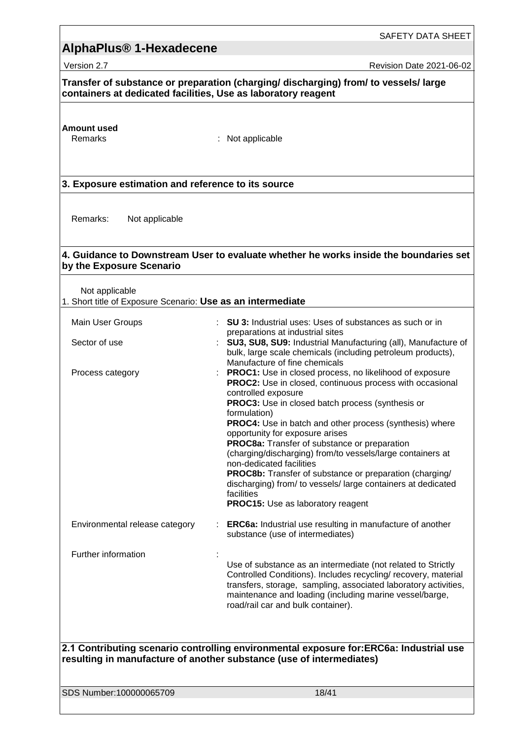## **AlphaPlus® 1-Hexadecene**  Version 2.7 Revision Date 2021-06-02 **Transfer of substance or preparation (charging/ discharging) from/ to vessels/ large containers at dedicated facilities, Use as laboratory reagent Amount used** : Not applicable **3. Exposure estimation and reference to its source** Remarks: Not applicable **4. Guidance to Downstream User to evaluate whether he works inside the boundaries set by the Exposure Scenario** Not applicable 1. Short title of Exposure Scenario: **Use as an intermediate** Main User Groups **: SU 3:** Industrial uses: Uses of substances as such or in preparations at industrial sites Sector of use : **SU3, SU8, SU9:** Industrial Manufacturing (all), Manufacture of bulk, large scale chemicals (including petroleum products), Manufacture of fine chemicals Process category **Example 20**: **PROC1:** Use in closed process, no likelihood of exposure **PROC2:** Use in closed, continuous process with occasional controlled exposure **PROC3:** Use in closed batch process (synthesis or formulation) **PROC4:** Use in batch and other process (synthesis) where opportunity for exposure arises **PROC8a:** Transfer of substance or preparation (charging/discharging) from/to vessels/large containers at non-dedicated facilities **PROC8b:** Transfer of substance or preparation (charging/ discharging) from/ to vessels/ large containers at dedicated facilities **PROC15:** Use as laboratory reagent Environmental release category : **ERC6a:** Industrial use resulting in manufacture of another substance (use of intermediates) Further information : Use of substance as an intermediate (not related to Strictly Controlled Conditions). Includes recycling/ recovery, material transfers, storage, sampling, associated laboratory activities, maintenance and loading (including marine vessel/barge, road/rail car and bulk container). **2.1 Contributing scenario controlling environmental exposure for:ERC6a: Industrial use resulting in manufacture of another substance (use of intermediates)**

SDS Number:100000065709 18/41

SAFETY DATA SHEET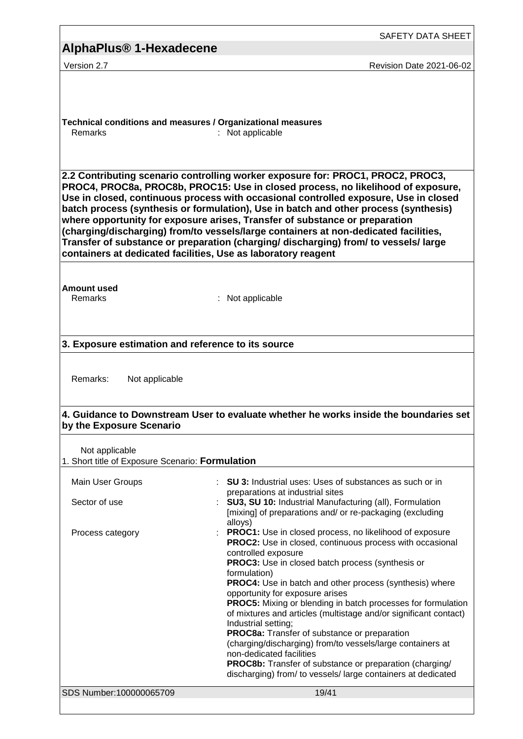|                                                                        | SAFETY DATA SHEET                                                                                                                                                                                                                                                                                                                                                                                                                                                                                                                                                                                                                                                                                                                                                                   |
|------------------------------------------------------------------------|-------------------------------------------------------------------------------------------------------------------------------------------------------------------------------------------------------------------------------------------------------------------------------------------------------------------------------------------------------------------------------------------------------------------------------------------------------------------------------------------------------------------------------------------------------------------------------------------------------------------------------------------------------------------------------------------------------------------------------------------------------------------------------------|
| AlphaPlus <sup>®</sup> 1-Hexadecene                                    |                                                                                                                                                                                                                                                                                                                                                                                                                                                                                                                                                                                                                                                                                                                                                                                     |
| Version 2.7                                                            | <b>Revision Date 2021-06-02</b>                                                                                                                                                                                                                                                                                                                                                                                                                                                                                                                                                                                                                                                                                                                                                     |
| Technical conditions and measures / Organizational measures<br>Remarks | : Not applicable<br>2.2 Contributing scenario controlling worker exposure for: PROC1, PROC2, PROC3,<br>PROC4, PROC8a, PROC8b, PROC15: Use in closed process, no likelihood of exposure,                                                                                                                                                                                                                                                                                                                                                                                                                                                                                                                                                                                             |
|                                                                        | Use in closed, continuous process with occasional controlled exposure, Use in closed<br>batch process (synthesis or formulation), Use in batch and other process (synthesis)<br>where opportunity for exposure arises, Transfer of substance or preparation<br>(charging/discharging) from/to vessels/large containers at non-dedicated facilities,<br>Transfer of substance or preparation (charging/ discharging) from/ to vessels/ large<br>containers at dedicated facilities, Use as laboratory reagent                                                                                                                                                                                                                                                                        |
| <b>Amount used</b><br>Remarks                                          | : Not applicable                                                                                                                                                                                                                                                                                                                                                                                                                                                                                                                                                                                                                                                                                                                                                                    |
| 3. Exposure estimation and reference to its source                     |                                                                                                                                                                                                                                                                                                                                                                                                                                                                                                                                                                                                                                                                                                                                                                                     |
| Remarks:<br>Not applicable                                             | 4. Guidance to Downstream User to evaluate whether he works inside the boundaries set                                                                                                                                                                                                                                                                                                                                                                                                                                                                                                                                                                                                                                                                                               |
| by the Exposure Scenario                                               |                                                                                                                                                                                                                                                                                                                                                                                                                                                                                                                                                                                                                                                                                                                                                                                     |
| Not applicable<br>1. Short title of Exposure Scenario: Formulation     |                                                                                                                                                                                                                                                                                                                                                                                                                                                                                                                                                                                                                                                                                                                                                                                     |
| Main User Groups<br>Sector of use                                      | : SU 3: Industrial uses: Uses of substances as such or in<br>preparations at industrial sites<br>SU3, SU 10: Industrial Manufacturing (all), Formulation<br>[mixing] of preparations and/ or re-packaging (excluding                                                                                                                                                                                                                                                                                                                                                                                                                                                                                                                                                                |
| Process category                                                       | alloys)<br><b>PROC1:</b> Use in closed process, no likelihood of exposure<br><b>PROC2:</b> Use in closed, continuous process with occasional<br>controlled exposure<br>PROC3: Use in closed batch process (synthesis or<br>formulation)<br>PROC4: Use in batch and other process (synthesis) where<br>opportunity for exposure arises<br><b>PROC5:</b> Mixing or blending in batch processes for formulation<br>of mixtures and articles (multistage and/or significant contact)<br>Industrial setting;<br>PROC8a: Transfer of substance or preparation<br>(charging/discharging) from/to vessels/large containers at<br>non-dedicated facilities<br><b>PROC8b:</b> Transfer of substance or preparation (charging/<br>discharging) from/ to vessels/ large containers at dedicated |
| SDS Number:100000065709                                                | 19/41                                                                                                                                                                                                                                                                                                                                                                                                                                                                                                                                                                                                                                                                                                                                                                               |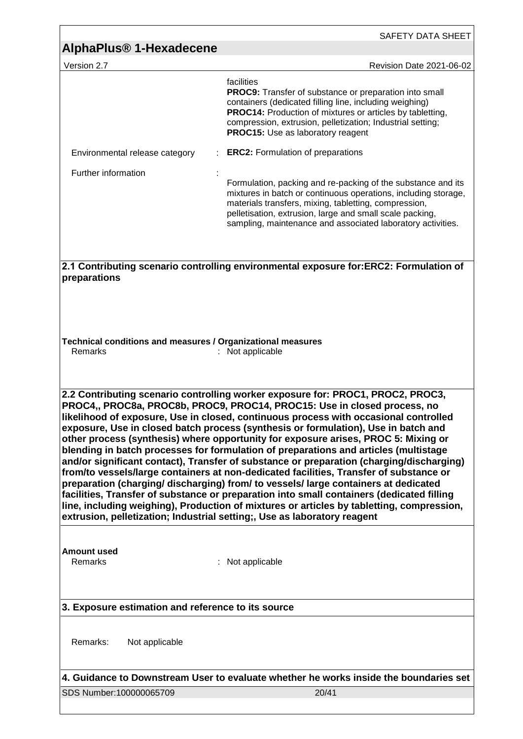| AlphaPlus <sup>®</sup> 1-Hexadecene                                                                                                                                                                                                                                                                                                                                                                                                                                                                                                                                                                                                                                                                                                                                                                                                                                                                                                                                                                                                                                     | SAFETY DATA SHEET                                                                                                                                                                                                                                                                                             |  |
|-------------------------------------------------------------------------------------------------------------------------------------------------------------------------------------------------------------------------------------------------------------------------------------------------------------------------------------------------------------------------------------------------------------------------------------------------------------------------------------------------------------------------------------------------------------------------------------------------------------------------------------------------------------------------------------------------------------------------------------------------------------------------------------------------------------------------------------------------------------------------------------------------------------------------------------------------------------------------------------------------------------------------------------------------------------------------|---------------------------------------------------------------------------------------------------------------------------------------------------------------------------------------------------------------------------------------------------------------------------------------------------------------|--|
| Version 2.7                                                                                                                                                                                                                                                                                                                                                                                                                                                                                                                                                                                                                                                                                                                                                                                                                                                                                                                                                                                                                                                             | Revision Date 2021-06-02                                                                                                                                                                                                                                                                                      |  |
|                                                                                                                                                                                                                                                                                                                                                                                                                                                                                                                                                                                                                                                                                                                                                                                                                                                                                                                                                                                                                                                                         | facilities<br><b>PROC9:</b> Transfer of substance or preparation into small<br>containers (dedicated filling line, including weighing)<br><b>PROC14:</b> Production of mixtures or articles by tabletting,<br>compression, extrusion, pelletization; Industrial setting;<br>PROC15: Use as laboratory reagent |  |
| Environmental release category<br>Further information                                                                                                                                                                                                                                                                                                                                                                                                                                                                                                                                                                                                                                                                                                                                                                                                                                                                                                                                                                                                                   | <b>ERC2:</b> Formulation of preparations<br>Formulation, packing and re-packing of the substance and its<br>mixtures in batch or continuous operations, including storage,<br>materials transfers, mixing, tabletting, compression,<br>pelletisation, extrusion, large and small scale packing,               |  |
| preparations                                                                                                                                                                                                                                                                                                                                                                                                                                                                                                                                                                                                                                                                                                                                                                                                                                                                                                                                                                                                                                                            | sampling, maintenance and associated laboratory activities.<br>2.1 Contributing scenario controlling environmental exposure for:ERC2: Formulation of                                                                                                                                                          |  |
| Technical conditions and measures / Organizational measures<br>Remarks                                                                                                                                                                                                                                                                                                                                                                                                                                                                                                                                                                                                                                                                                                                                                                                                                                                                                                                                                                                                  | : Not applicable                                                                                                                                                                                                                                                                                              |  |
| 2.2 Contributing scenario controlling worker exposure for: PROC1, PROC2, PROC3,<br>PROC4,, PROC8a, PROC8b, PROC9, PROC14, PROC15: Use in closed process, no<br>likelihood of exposure, Use in closed, continuous process with occasional controlled<br>exposure, Use in closed batch process (synthesis or formulation), Use in batch and<br>other process (synthesis) where opportunity for exposure arises, PROC 5: Mixing or<br>blending in batch processes for formulation of preparations and articles (multistage<br>and/or significant contact), Transfer of substance or preparation (charging/discharging)<br>from/to vessels/large containers at non-dedicated facilities, Transfer of substance or<br>preparation (charging/discharging) from/to vessels/large containers at dedicated<br>facilities, Transfer of substance or preparation into small containers (dedicated filling<br>line, including weighing), Production of mixtures or articles by tabletting, compression,<br>extrusion, pelletization; Industrial setting;, Use as laboratory reagent |                                                                                                                                                                                                                                                                                                               |  |
| <b>Amount used</b><br>Remarks                                                                                                                                                                                                                                                                                                                                                                                                                                                                                                                                                                                                                                                                                                                                                                                                                                                                                                                                                                                                                                           | : Not applicable                                                                                                                                                                                                                                                                                              |  |
| 3. Exposure estimation and reference to its source                                                                                                                                                                                                                                                                                                                                                                                                                                                                                                                                                                                                                                                                                                                                                                                                                                                                                                                                                                                                                      |                                                                                                                                                                                                                                                                                                               |  |
| Remarks:<br>Not applicable                                                                                                                                                                                                                                                                                                                                                                                                                                                                                                                                                                                                                                                                                                                                                                                                                                                                                                                                                                                                                                              |                                                                                                                                                                                                                                                                                                               |  |
| SDS Number:100000065709                                                                                                                                                                                                                                                                                                                                                                                                                                                                                                                                                                                                                                                                                                                                                                                                                                                                                                                                                                                                                                                 | 4. Guidance to Downstream User to evaluate whether he works inside the boundaries set<br>20/41                                                                                                                                                                                                                |  |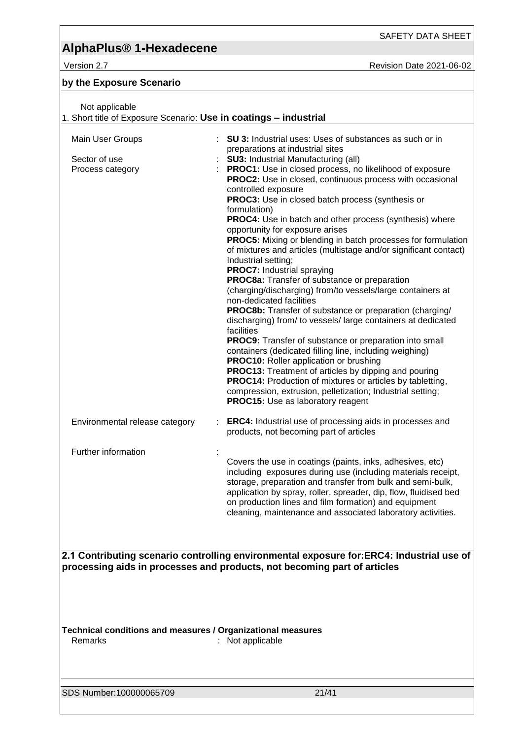# **AlphaPlus® 1-Hexadecene**

Version 2.7 Revision Date 2021-06-02

### **by the Exposure Scenario**

| Not applicable<br>1. Short title of Exposure Scenario: Use in coatings - industrial                                                                                  |                                                                                                                                                                                                                                                                                                                                                                                                                                                                                                                                                                                                                                                                                                                                                                                                                                                                                                                                                                                                                                                                                                                                                                                                                                                                                                                                                                                             |  |
|----------------------------------------------------------------------------------------------------------------------------------------------------------------------|---------------------------------------------------------------------------------------------------------------------------------------------------------------------------------------------------------------------------------------------------------------------------------------------------------------------------------------------------------------------------------------------------------------------------------------------------------------------------------------------------------------------------------------------------------------------------------------------------------------------------------------------------------------------------------------------------------------------------------------------------------------------------------------------------------------------------------------------------------------------------------------------------------------------------------------------------------------------------------------------------------------------------------------------------------------------------------------------------------------------------------------------------------------------------------------------------------------------------------------------------------------------------------------------------------------------------------------------------------------------------------------------|--|
| Main User Groups<br>Sector of use<br>Process category                                                                                                                | SU 3: Industrial uses: Uses of substances as such or in<br>preparations at industrial sites<br><b>SU3: Industrial Manufacturing (all)</b><br>PROC1: Use in closed process, no likelihood of exposure<br><b>PROC2:</b> Use in closed, continuous process with occasional<br>controlled exposure<br>PROC3: Use in closed batch process (synthesis or<br>formulation)<br><b>PROC4:</b> Use in batch and other process (synthesis) where<br>opportunity for exposure arises<br><b>PROC5:</b> Mixing or blending in batch processes for formulation<br>of mixtures and articles (multistage and/or significant contact)<br>Industrial setting;<br><b>PROC7:</b> Industrial spraying<br>PROC8a: Transfer of substance or preparation<br>(charging/discharging) from/to vessels/large containers at<br>non-dedicated facilities<br>PROC8b: Transfer of substance or preparation (charging/<br>discharging) from/ to vessels/ large containers at dedicated<br>facilities<br><b>PROC9:</b> Transfer of substance or preparation into small<br>containers (dedicated filling line, including weighing)<br><b>PROC10:</b> Roller application or brushing<br><b>PROC13:</b> Treatment of articles by dipping and pouring<br><b>PROC14:</b> Production of mixtures or articles by tabletting,<br>compression, extrusion, pelletization; Industrial setting;<br><b>PROC15:</b> Use as laboratory reagent |  |
| Environmental release category                                                                                                                                       | <b>ERC4:</b> Industrial use of processing aids in processes and<br>products, not becoming part of articles                                                                                                                                                                                                                                                                                                                                                                                                                                                                                                                                                                                                                                                                                                                                                                                                                                                                                                                                                                                                                                                                                                                                                                                                                                                                                  |  |
| Further information                                                                                                                                                  | Covers the use in coatings (paints, inks, adhesives, etc)<br>including exposures during use (including materials receipt,<br>storage, preparation and transfer from bulk and semi-bulk,<br>application by spray, roller, spreader, dip, flow, fluidised bed<br>on production lines and film formation) and equipment<br>cleaning, maintenance and associated laboratory activities.                                                                                                                                                                                                                                                                                                                                                                                                                                                                                                                                                                                                                                                                                                                                                                                                                                                                                                                                                                                                         |  |
| 2.1 Contributing scenario controlling environmental exposure for:ERC4: Industrial use of<br>processing aids in processes and products, not becoming part of articles |                                                                                                                                                                                                                                                                                                                                                                                                                                                                                                                                                                                                                                                                                                                                                                                                                                                                                                                                                                                                                                                                                                                                                                                                                                                                                                                                                                                             |  |
| Technical conditions and measures / Organizational measures<br>Remarks                                                                                               | : Not applicable                                                                                                                                                                                                                                                                                                                                                                                                                                                                                                                                                                                                                                                                                                                                                                                                                                                                                                                                                                                                                                                                                                                                                                                                                                                                                                                                                                            |  |
| SDS Number:100000065709                                                                                                                                              | 21/41                                                                                                                                                                                                                                                                                                                                                                                                                                                                                                                                                                                                                                                                                                                                                                                                                                                                                                                                                                                                                                                                                                                                                                                                                                                                                                                                                                                       |  |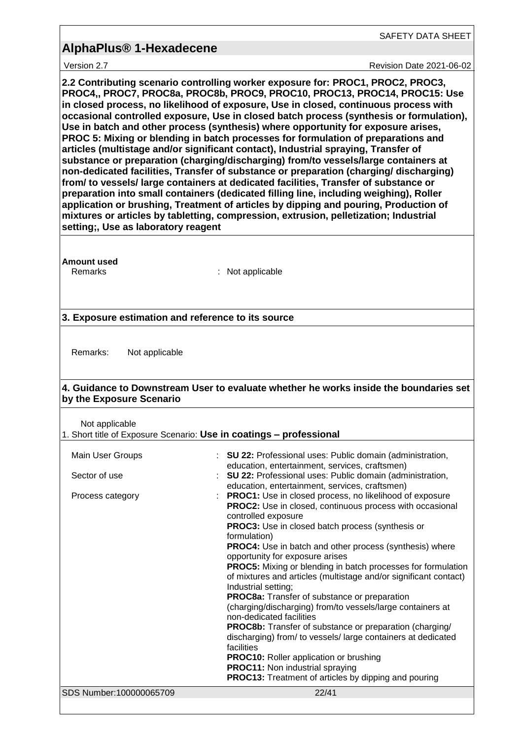Version 2.7 **New Search 2021-06-02** Revision Date 2021-06-02

**2.2 Contributing scenario controlling worker exposure for: PROC1, PROC2, PROC3, PROC4,, PROC7, PROC8a, PROC8b, PROC9, PROC10, PROC13, PROC14, PROC15: Use in closed process, no likelihood of exposure, Use in closed, continuous process with occasional controlled exposure, Use in closed batch process (synthesis or formulation), Use in batch and other process (synthesis) where opportunity for exposure arises, PROC 5: Mixing or blending in batch processes for formulation of preparations and articles (multistage and/or significant contact), Industrial spraying, Transfer of substance or preparation (charging/discharging) from/to vessels/large containers at non-dedicated facilities, Transfer of substance or preparation (charging/ discharging) from/ to vessels/ large containers at dedicated facilities, Transfer of substance or preparation into small containers (dedicated filling line, including weighing), Roller application or brushing, Treatment of articles by dipping and pouring, Production of mixtures or articles by tabletting, compression, extrusion, pelletization; Industrial setting;, Use as laboratory reagent**

**Amount used**

Remarks : Not applicable

### **3. Exposure estimation and reference to its source**

Remarks: Not applicable

### **4. Guidance to Downstream User to evaluate whether he works inside the boundaries set by the Exposure Scenario**

Not applicable

| 1. Short title of Exposure Scenario: Use in coatings - professional |  |  |  |
|---------------------------------------------------------------------|--|--|--|
|---------------------------------------------------------------------|--|--|--|

| Main User Groups        | : SU 22: Professional uses: Public domain (administration,<br>education, entertainment, services, craftsmen)                                                                                                        |
|-------------------------|---------------------------------------------------------------------------------------------------------------------------------------------------------------------------------------------------------------------|
| Sector of use           | : SU 22: Professional uses: Public domain (administration,<br>education, entertainment, services, craftsmen)                                                                                                        |
| Process category        | <b>PROC1:</b> Use in closed process, no likelihood of exposure<br><b>PROC2:</b> Use in closed, continuous process with occasional<br>controlled exposure<br><b>PROC3:</b> Use in closed batch process (synthesis or |
|                         | formulation)<br><b>PROC4:</b> Use in batch and other process (synthesis) where<br>opportunity for exposure arises                                                                                                   |
|                         | <b>PROC5:</b> Mixing or blending in batch processes for formulation<br>of mixtures and articles (multistage and/or significant contact)<br>Industrial setting;                                                      |
|                         | PROC8a: Transfer of substance or preparation<br>(charging/discharging) from/to vessels/large containers at<br>non-dedicated facilities                                                                              |
|                         | <b>PROC8b:</b> Transfer of substance or preparation (charging/<br>discharging) from/ to vessels/large containers at dedicated<br>facilities                                                                         |
|                         | <b>PROC10:</b> Roller application or brushing<br><b>PROC11:</b> Non industrial spraying<br><b>PROC13:</b> Treatment of articles by dipping and pouring                                                              |
| SDS Number:100000065709 | 22/41                                                                                                                                                                                                               |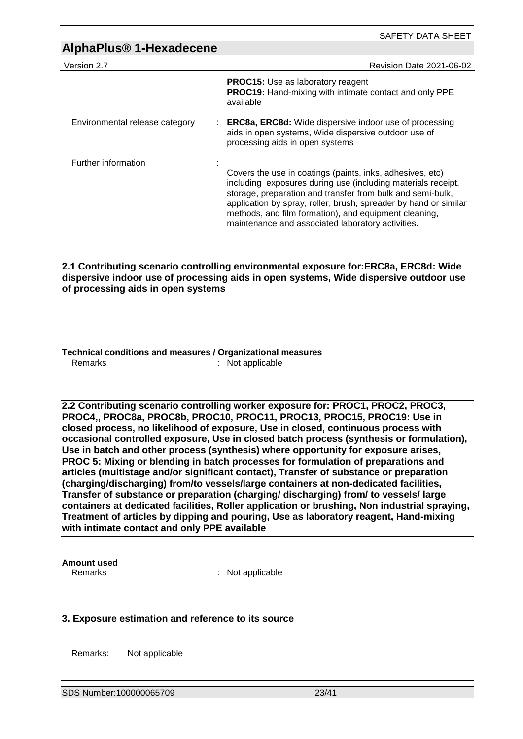|                                                                                                                                                                                                                                                                                                                                                                                                                                                                                                                                                                                                                                                                                                                                                                                                                                                                                                                                                                                                                                     | SAFETY DATA SHEET                                                                                                                                                                                                                                                                                                                                                         |  |
|-------------------------------------------------------------------------------------------------------------------------------------------------------------------------------------------------------------------------------------------------------------------------------------------------------------------------------------------------------------------------------------------------------------------------------------------------------------------------------------------------------------------------------------------------------------------------------------------------------------------------------------------------------------------------------------------------------------------------------------------------------------------------------------------------------------------------------------------------------------------------------------------------------------------------------------------------------------------------------------------------------------------------------------|---------------------------------------------------------------------------------------------------------------------------------------------------------------------------------------------------------------------------------------------------------------------------------------------------------------------------------------------------------------------------|--|
| AlphaPlus <sup>®</sup> 1-Hexadecene                                                                                                                                                                                                                                                                                                                                                                                                                                                                                                                                                                                                                                                                                                                                                                                                                                                                                                                                                                                                 |                                                                                                                                                                                                                                                                                                                                                                           |  |
| Version 2.7                                                                                                                                                                                                                                                                                                                                                                                                                                                                                                                                                                                                                                                                                                                                                                                                                                                                                                                                                                                                                         | Revision Date 2021-06-02                                                                                                                                                                                                                                                                                                                                                  |  |
|                                                                                                                                                                                                                                                                                                                                                                                                                                                                                                                                                                                                                                                                                                                                                                                                                                                                                                                                                                                                                                     | <b>PROC15:</b> Use as laboratory reagent<br><b>PROC19:</b> Hand-mixing with intimate contact and only PPE<br>available                                                                                                                                                                                                                                                    |  |
| Environmental release category                                                                                                                                                                                                                                                                                                                                                                                                                                                                                                                                                                                                                                                                                                                                                                                                                                                                                                                                                                                                      | <b>ERC8a, ERC8d:</b> Wide dispersive indoor use of processing<br>aids in open systems, Wide dispersive outdoor use of<br>processing aids in open systems                                                                                                                                                                                                                  |  |
| Further information                                                                                                                                                                                                                                                                                                                                                                                                                                                                                                                                                                                                                                                                                                                                                                                                                                                                                                                                                                                                                 |                                                                                                                                                                                                                                                                                                                                                                           |  |
|                                                                                                                                                                                                                                                                                                                                                                                                                                                                                                                                                                                                                                                                                                                                                                                                                                                                                                                                                                                                                                     | Covers the use in coatings (paints, inks, adhesives, etc)<br>including exposures during use (including materials receipt,<br>storage, preparation and transfer from bulk and semi-bulk,<br>application by spray, roller, brush, spreader by hand or similar<br>methods, and film formation), and equipment cleaning,<br>maintenance and associated laboratory activities. |  |
|                                                                                                                                                                                                                                                                                                                                                                                                                                                                                                                                                                                                                                                                                                                                                                                                                                                                                                                                                                                                                                     |                                                                                                                                                                                                                                                                                                                                                                           |  |
| of processing aids in open systems                                                                                                                                                                                                                                                                                                                                                                                                                                                                                                                                                                                                                                                                                                                                                                                                                                                                                                                                                                                                  | 2.1 Contributing scenario controlling environmental exposure for:ERC8a, ERC8d: Wide<br>dispersive indoor use of processing aids in open systems, Wide dispersive outdoor use                                                                                                                                                                                              |  |
| Technical conditions and measures / Organizational measures                                                                                                                                                                                                                                                                                                                                                                                                                                                                                                                                                                                                                                                                                                                                                                                                                                                                                                                                                                         |                                                                                                                                                                                                                                                                                                                                                                           |  |
| Remarks                                                                                                                                                                                                                                                                                                                                                                                                                                                                                                                                                                                                                                                                                                                                                                                                                                                                                                                                                                                                                             | : Not applicable                                                                                                                                                                                                                                                                                                                                                          |  |
| 2.2 Contributing scenario controlling worker exposure for: PROC1, PROC2, PROC3,<br>PROC4,, PROC8a, PROC8b, PROC10, PROC11, PROC13, PROC15, PROC19: Use in<br>closed process, no likelihood of exposure, Use in closed, continuous process with<br>occasional controlled exposure, Use in closed batch process (synthesis or formulation),<br>Use in batch and other process (synthesis) where opportunity for exposure arises,<br>PROC 5: Mixing or blending in batch processes for formulation of preparations and<br>articles (multistage and/or significant contact), Transfer of substance or preparation<br>(charging/discharging) from/to vessels/large containers at non-dedicated facilities,<br>Transfer of substance or preparation (charging/discharging) from/ to vessels/large<br>containers at dedicated facilities, Roller application or brushing, Non industrial spraying,<br>Treatment of articles by dipping and pouring, Use as laboratory reagent, Hand-mixing<br>with intimate contact and only PPE available |                                                                                                                                                                                                                                                                                                                                                                           |  |
|                                                                                                                                                                                                                                                                                                                                                                                                                                                                                                                                                                                                                                                                                                                                                                                                                                                                                                                                                                                                                                     |                                                                                                                                                                                                                                                                                                                                                                           |  |
| <b>Amount used</b><br>Remarks                                                                                                                                                                                                                                                                                                                                                                                                                                                                                                                                                                                                                                                                                                                                                                                                                                                                                                                                                                                                       | : Not applicable                                                                                                                                                                                                                                                                                                                                                          |  |
| 3. Exposure estimation and reference to its source                                                                                                                                                                                                                                                                                                                                                                                                                                                                                                                                                                                                                                                                                                                                                                                                                                                                                                                                                                                  |                                                                                                                                                                                                                                                                                                                                                                           |  |
|                                                                                                                                                                                                                                                                                                                                                                                                                                                                                                                                                                                                                                                                                                                                                                                                                                                                                                                                                                                                                                     |                                                                                                                                                                                                                                                                                                                                                                           |  |
| Remarks:<br>Not applicable                                                                                                                                                                                                                                                                                                                                                                                                                                                                                                                                                                                                                                                                                                                                                                                                                                                                                                                                                                                                          |                                                                                                                                                                                                                                                                                                                                                                           |  |
| SDS Number:100000065709                                                                                                                                                                                                                                                                                                                                                                                                                                                                                                                                                                                                                                                                                                                                                                                                                                                                                                                                                                                                             | 23/41                                                                                                                                                                                                                                                                                                                                                                     |  |
|                                                                                                                                                                                                                                                                                                                                                                                                                                                                                                                                                                                                                                                                                                                                                                                                                                                                                                                                                                                                                                     |                                                                                                                                                                                                                                                                                                                                                                           |  |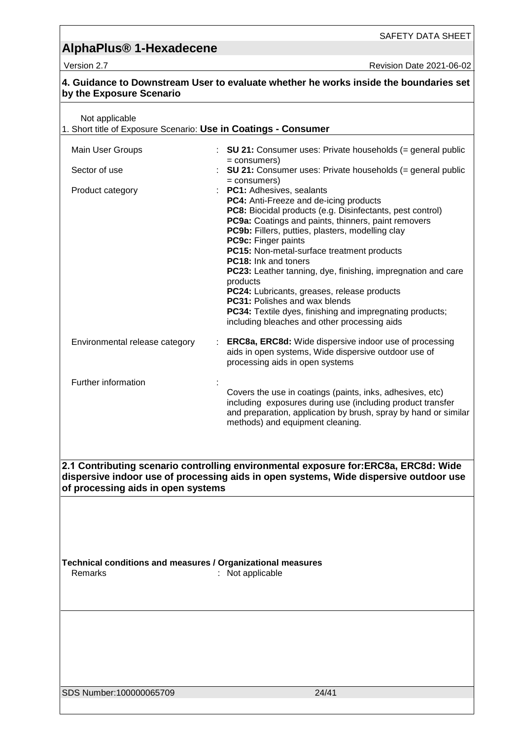| by the Exposure Scenario                                                          | 4. Guidance to Downstream User to evaluate whether he works inside the boundaries set                                                                                                                                                                                                                                                                                                                                                                                                                                                                                                                                                  |
|-----------------------------------------------------------------------------------|----------------------------------------------------------------------------------------------------------------------------------------------------------------------------------------------------------------------------------------------------------------------------------------------------------------------------------------------------------------------------------------------------------------------------------------------------------------------------------------------------------------------------------------------------------------------------------------------------------------------------------------|
| Not applicable<br>1. Short title of Exposure Scenario: Use in Coatings - Consumer |                                                                                                                                                                                                                                                                                                                                                                                                                                                                                                                                                                                                                                        |
| Main User Groups                                                                  | : SU 21: Consumer uses: Private households $(=$ general public                                                                                                                                                                                                                                                                                                                                                                                                                                                                                                                                                                         |
| Sector of use                                                                     | = consumers)<br><b>SU 21:</b> Consumer uses: Private households $(=$ general public                                                                                                                                                                                                                                                                                                                                                                                                                                                                                                                                                    |
| Product category                                                                  | = consumers)<br>PC1: Adhesives, sealants<br>PC4: Anti-Freeze and de-icing products<br>PC8: Biocidal products (e.g. Disinfectants, pest control)<br>PC9a: Coatings and paints, thinners, paint removers<br>PC9b: Fillers, putties, plasters, modelling clay<br>PC9c: Finger paints<br>PC15: Non-metal-surface treatment products<br><b>PC18:</b> Ink and toners<br>PC23: Leather tanning, dye, finishing, impregnation and care<br>products<br>PC24: Lubricants, greases, release products<br>PC31: Polishes and wax blends<br>PC34: Textile dyes, finishing and impregnating products;<br>including bleaches and other processing aids |
| Environmental release category                                                    | <b>ERC8a, ERC8d:</b> Wide dispersive indoor use of processing<br>aids in open systems, Wide dispersive outdoor use of<br>processing aids in open systems                                                                                                                                                                                                                                                                                                                                                                                                                                                                               |
| Further information                                                               | Covers the use in coatings (paints, inks, adhesives, etc)<br>including exposures during use (including product transfer<br>and preparation, application by brush, spray by hand or similar<br>methods) and equipment cleaning.                                                                                                                                                                                                                                                                                                                                                                                                         |
| of processing aids in open systems                                                | 2.1 Contributing scenario controlling environmental exposure for: ERC8a, ERC8d: Wide<br>dispersive indoor use of processing aids in open systems, Wide dispersive outdoor use                                                                                                                                                                                                                                                                                                                                                                                                                                                          |
| Technical conditions and measures / Organizational measures<br>Remarks            | : Not applicable                                                                                                                                                                                                                                                                                                                                                                                                                                                                                                                                                                                                                       |
|                                                                                   |                                                                                                                                                                                                                                                                                                                                                                                                                                                                                                                                                                                                                                        |
| SDS Number:100000065709                                                           | 24/41                                                                                                                                                                                                                                                                                                                                                                                                                                                                                                                                                                                                                                  |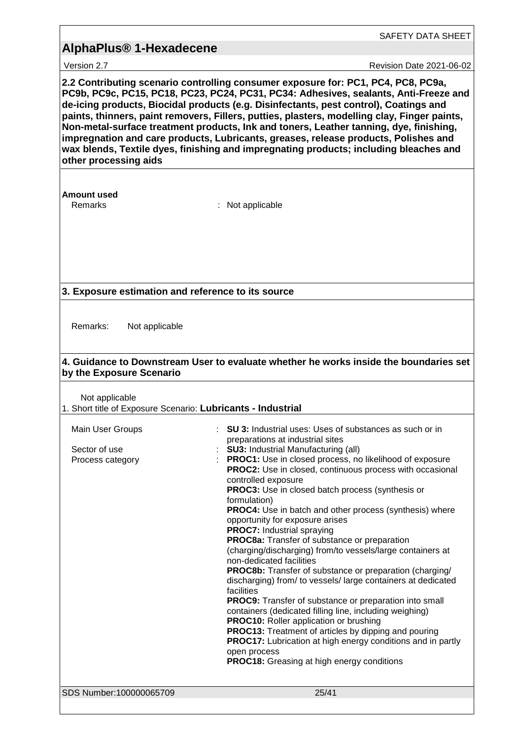|                                                                                                                                                                                                                                                                                                                                                                                                                                                                                                                                                                                                                                                                                                                  | SAFETY DATA SHEET                                                                                                                                                                                                                                                                                                                                                                                                                                                                                                                                                                                                                                                                                                                                                                                                                                                                                                                                                                                                                                                                                                                                                                             |  |
|------------------------------------------------------------------------------------------------------------------------------------------------------------------------------------------------------------------------------------------------------------------------------------------------------------------------------------------------------------------------------------------------------------------------------------------------------------------------------------------------------------------------------------------------------------------------------------------------------------------------------------------------------------------------------------------------------------------|-----------------------------------------------------------------------------------------------------------------------------------------------------------------------------------------------------------------------------------------------------------------------------------------------------------------------------------------------------------------------------------------------------------------------------------------------------------------------------------------------------------------------------------------------------------------------------------------------------------------------------------------------------------------------------------------------------------------------------------------------------------------------------------------------------------------------------------------------------------------------------------------------------------------------------------------------------------------------------------------------------------------------------------------------------------------------------------------------------------------------------------------------------------------------------------------------|--|
| <b>AlphaPlus<sup>®</sup> 1-Hexadecene</b>                                                                                                                                                                                                                                                                                                                                                                                                                                                                                                                                                                                                                                                                        |                                                                                                                                                                                                                                                                                                                                                                                                                                                                                                                                                                                                                                                                                                                                                                                                                                                                                                                                                                                                                                                                                                                                                                                               |  |
|                                                                                                                                                                                                                                                                                                                                                                                                                                                                                                                                                                                                                                                                                                                  |                                                                                                                                                                                                                                                                                                                                                                                                                                                                                                                                                                                                                                                                                                                                                                                                                                                                                                                                                                                                                                                                                                                                                                                               |  |
| Version 2.7<br>Revision Date 2021-06-02<br>2.2 Contributing scenario controlling consumer exposure for: PC1, PC4, PC8, PC9a,<br>PC9b, PC9c, PC15, PC18, PC23, PC24, PC31, PC34: Adhesives, sealants, Anti-Freeze and<br>de-icing products, Biocidal products (e.g. Disinfectants, pest control), Coatings and<br>paints, thinners, paint removers, Fillers, putties, plasters, modelling clay, Finger paints,<br>Non-metal-surface treatment products, Ink and toners, Leather tanning, dye, finishing,<br>impregnation and care products, Lubricants, greases, release products, Polishes and<br>wax blends, Textile dyes, finishing and impregnating products; including bleaches and<br>other processing aids |                                                                                                                                                                                                                                                                                                                                                                                                                                                                                                                                                                                                                                                                                                                                                                                                                                                                                                                                                                                                                                                                                                                                                                                               |  |
| <b>Amount used</b><br>Remarks                                                                                                                                                                                                                                                                                                                                                                                                                                                                                                                                                                                                                                                                                    | : Not applicable                                                                                                                                                                                                                                                                                                                                                                                                                                                                                                                                                                                                                                                                                                                                                                                                                                                                                                                                                                                                                                                                                                                                                                              |  |
| 3. Exposure estimation and reference to its source                                                                                                                                                                                                                                                                                                                                                                                                                                                                                                                                                                                                                                                               |                                                                                                                                                                                                                                                                                                                                                                                                                                                                                                                                                                                                                                                                                                                                                                                                                                                                                                                                                                                                                                                                                                                                                                                               |  |
| Remarks:<br>Not applicable                                                                                                                                                                                                                                                                                                                                                                                                                                                                                                                                                                                                                                                                                       |                                                                                                                                                                                                                                                                                                                                                                                                                                                                                                                                                                                                                                                                                                                                                                                                                                                                                                                                                                                                                                                                                                                                                                                               |  |
| by the Exposure Scenario                                                                                                                                                                                                                                                                                                                                                                                                                                                                                                                                                                                                                                                                                         | 4. Guidance to Downstream User to evaluate whether he works inside the boundaries set                                                                                                                                                                                                                                                                                                                                                                                                                                                                                                                                                                                                                                                                                                                                                                                                                                                                                                                                                                                                                                                                                                         |  |
| Not applicable<br>1. Short title of Exposure Scenario: Lubricants - Industrial                                                                                                                                                                                                                                                                                                                                                                                                                                                                                                                                                                                                                                   |                                                                                                                                                                                                                                                                                                                                                                                                                                                                                                                                                                                                                                                                                                                                                                                                                                                                                                                                                                                                                                                                                                                                                                                               |  |
| Main User Groups<br>Sector of use<br>Process category                                                                                                                                                                                                                                                                                                                                                                                                                                                                                                                                                                                                                                                            | <b>SU 3:</b> Industrial uses: Uses of substances as such or in<br>preparations at industrial sites<br><b>SU3: Industrial Manufacturing (all)</b><br>PROC1: Use in closed process, no likelihood of exposure<br>PROC2: Use in closed, continuous process with occasional<br>controlled exposure<br>PROC3: Use in closed batch process (synthesis or<br>formulation)<br><b>PROC4:</b> Use in batch and other process (synthesis) where<br>opportunity for exposure arises<br><b>PROC7:</b> Industrial spraying<br>PROC8a: Transfer of substance or preparation<br>(charging/discharging) from/to vessels/large containers at<br>non-dedicated facilities<br><b>PROC8b:</b> Transfer of substance or preparation (charging/<br>discharging) from/ to vessels/ large containers at dedicated<br>facilities<br><b>PROC9:</b> Transfer of substance or preparation into small<br>containers (dedicated filling line, including weighing)<br><b>PROC10:</b> Roller application or brushing<br><b>PROC13:</b> Treatment of articles by dipping and pouring<br><b>PROC17:</b> Lubrication at high energy conditions and in partly<br>open process<br><b>PROC18:</b> Greasing at high energy conditions |  |
| SDS Number:100000065709                                                                                                                                                                                                                                                                                                                                                                                                                                                                                                                                                                                                                                                                                          | 25/41                                                                                                                                                                                                                                                                                                                                                                                                                                                                                                                                                                                                                                                                                                                                                                                                                                                                                                                                                                                                                                                                                                                                                                                         |  |
|                                                                                                                                                                                                                                                                                                                                                                                                                                                                                                                                                                                                                                                                                                                  |                                                                                                                                                                                                                                                                                                                                                                                                                                                                                                                                                                                                                                                                                                                                                                                                                                                                                                                                                                                                                                                                                                                                                                                               |  |

<u> 1989 - Johann Stein, marwolaethau a bhann an chomhair an t-an chomhair an chomhair an chomhair an chomhair a</u>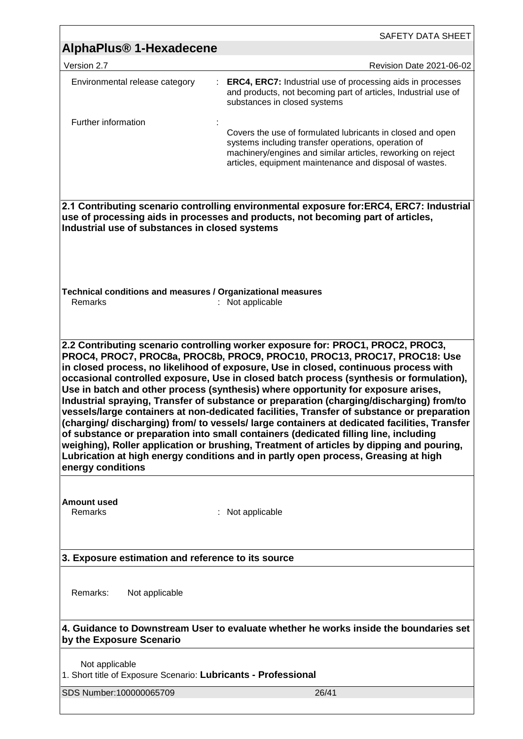| SAFETY DATA SHEET                                                                                                                                                                                                                                                                                                                                                                                                                                                                                                                                                                                                                                                                                                                                                                                                                                                                                                 |
|-------------------------------------------------------------------------------------------------------------------------------------------------------------------------------------------------------------------------------------------------------------------------------------------------------------------------------------------------------------------------------------------------------------------------------------------------------------------------------------------------------------------------------------------------------------------------------------------------------------------------------------------------------------------------------------------------------------------------------------------------------------------------------------------------------------------------------------------------------------------------------------------------------------------|
| AlphaPlus <sup>®</sup> 1-Hexadecene                                                                                                                                                                                                                                                                                                                                                                                                                                                                                                                                                                                                                                                                                                                                                                                                                                                                               |
| Revision Date 2021-06-02                                                                                                                                                                                                                                                                                                                                                                                                                                                                                                                                                                                                                                                                                                                                                                                                                                                                                          |
| <b>ERC4, ERC7:</b> Industrial use of processing aids in processes<br>and products, not becoming part of articles, Industrial use of<br>substances in closed systems                                                                                                                                                                                                                                                                                                                                                                                                                                                                                                                                                                                                                                                                                                                                               |
| Covers the use of formulated lubricants in closed and open<br>systems including transfer operations, operation of<br>machinery/engines and similar articles, reworking on reject<br>articles, equipment maintenance and disposal of wastes.                                                                                                                                                                                                                                                                                                                                                                                                                                                                                                                                                                                                                                                                       |
| 2.1 Contributing scenario controlling environmental exposure for:ERC4, ERC7: Industrial<br>use of processing aids in processes and products, not becoming part of articles,<br>Industrial use of substances in closed systems                                                                                                                                                                                                                                                                                                                                                                                                                                                                                                                                                                                                                                                                                     |
| Technical conditions and measures / Organizational measures<br>: Not applicable                                                                                                                                                                                                                                                                                                                                                                                                                                                                                                                                                                                                                                                                                                                                                                                                                                   |
| PROC4, PROC7, PROC8a, PROC8b, PROC9, PROC10, PROC13, PROC17, PROC18: Use<br>in closed process, no likelihood of exposure, Use in closed, continuous process with<br>occasional controlled exposure, Use in closed batch process (synthesis or formulation),<br>Use in batch and other process (synthesis) where opportunity for exposure arises,<br>Industrial spraying, Transfer of substance or preparation (charging/discharging) from/to<br>vessels/large containers at non-dedicated facilities, Transfer of substance or preparation<br>(charging/discharging) from/to vessels/large containers at dedicated facilities, Transfer<br>of substance or preparation into small containers (dedicated filling line, including<br>weighing), Roller application or brushing, Treatment of articles by dipping and pouring,<br>Lubrication at high energy conditions and in partly open process, Greasing at high |
| : Not applicable                                                                                                                                                                                                                                                                                                                                                                                                                                                                                                                                                                                                                                                                                                                                                                                                                                                                                                  |
| 3. Exposure estimation and reference to its source                                                                                                                                                                                                                                                                                                                                                                                                                                                                                                                                                                                                                                                                                                                                                                                                                                                                |
|                                                                                                                                                                                                                                                                                                                                                                                                                                                                                                                                                                                                                                                                                                                                                                                                                                                                                                                   |
| 4. Guidance to Downstream User to evaluate whether he works inside the boundaries set                                                                                                                                                                                                                                                                                                                                                                                                                                                                                                                                                                                                                                                                                                                                                                                                                             |
| 1. Short title of Exposure Scenario: Lubricants - Professional                                                                                                                                                                                                                                                                                                                                                                                                                                                                                                                                                                                                                                                                                                                                                                                                                                                    |
|                                                                                                                                                                                                                                                                                                                                                                                                                                                                                                                                                                                                                                                                                                                                                                                                                                                                                                                   |
| 2.2 Contributing scenario controlling worker exposure for: PROC1, PROC2, PROC3,                                                                                                                                                                                                                                                                                                                                                                                                                                                                                                                                                                                                                                                                                                                                                                                                                                   |

<u> 1980 - Andrea Barbara, amerikana amerikana amerikana amerikana amerikana amerikana amerikana amerikana amerik</u>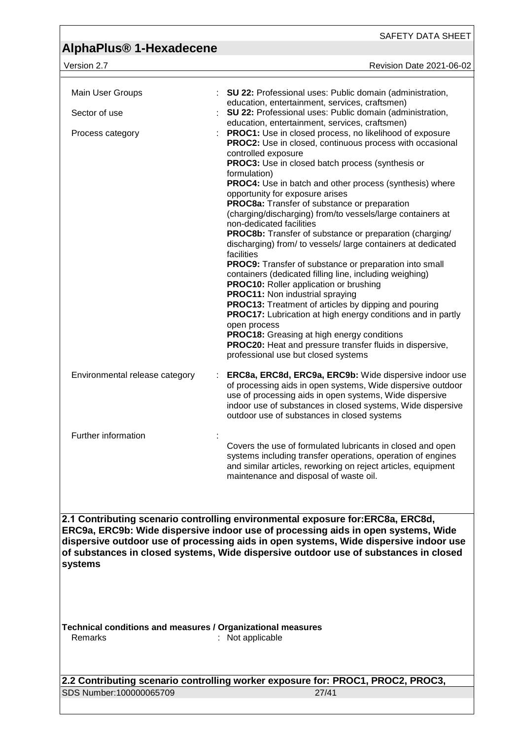SAFETY DATA SHEET

| Version 2.7 |  |
|-------------|--|
|             |  |

version Date 2021-06-02

| Main User Groups                                                       | : SU 22: Professional uses: Public domain (administration,                                                                                                                                                                                      |
|------------------------------------------------------------------------|-------------------------------------------------------------------------------------------------------------------------------------------------------------------------------------------------------------------------------------------------|
| Sector of use                                                          | education, entertainment, services, craftsmen)<br>SU 22: Professional uses: Public domain (administration,                                                                                                                                      |
|                                                                        | education, entertainment, services, craftsmen)                                                                                                                                                                                                  |
| Process category                                                       | PROC1: Use in closed process, no likelihood of exposure<br>PROC2: Use in closed, continuous process with occasional                                                                                                                             |
|                                                                        | controlled exposure<br>PROC3: Use in closed batch process (synthesis or                                                                                                                                                                         |
|                                                                        | formulation)                                                                                                                                                                                                                                    |
|                                                                        | PROC4: Use in batch and other process (synthesis) where<br>opportunity for exposure arises                                                                                                                                                      |
|                                                                        | PROC8a: Transfer of substance or preparation                                                                                                                                                                                                    |
|                                                                        | (charging/discharging) from/to vessels/large containers at<br>non-dedicated facilities                                                                                                                                                          |
|                                                                        | <b>PROC8b:</b> Transfer of substance or preparation (charging/                                                                                                                                                                                  |
|                                                                        | discharging) from/ to vessels/ large containers at dedicated<br>facilities                                                                                                                                                                      |
|                                                                        | PROC9: Transfer of substance or preparation into small                                                                                                                                                                                          |
|                                                                        | containers (dedicated filling line, including weighing)<br>PROC10: Roller application or brushing                                                                                                                                               |
|                                                                        | PROC11: Non industrial spraying                                                                                                                                                                                                                 |
|                                                                        | PROC13: Treatment of articles by dipping and pouring<br><b>PROC17:</b> Lubrication at high energy conditions and in partly                                                                                                                      |
|                                                                        | open process                                                                                                                                                                                                                                    |
|                                                                        | <b>PROC18:</b> Greasing at high energy conditions<br>PROC20: Heat and pressure transfer fluids in dispersive,                                                                                                                                   |
|                                                                        | professional use but closed systems                                                                                                                                                                                                             |
| Environmental release category                                         | ERC8a, ERC8d, ERC9a, ERC9b: Wide dispersive indoor use<br>of processing aids in open systems, Wide dispersive outdoor<br>use of processing aids in open systems, Wide dispersive<br>indoor use of substances in closed systems, Wide dispersive |
|                                                                        | outdoor use of substances in closed systems                                                                                                                                                                                                     |
| Further information                                                    |                                                                                                                                                                                                                                                 |
|                                                                        | Covers the use of formulated lubricants in closed and open<br>systems including transfer operations, operation of engines<br>and similar articles, reworking on reject articles, equipment<br>maintenance and disposal of waste oil.            |
|                                                                        |                                                                                                                                                                                                                                                 |
|                                                                        | 2.1 Contributing scenario controlling environmental exposure for:ERC8a, ERC8d,<br>ERC9a, ERC9b: Wide dispersive indoor use of processing aids in open systems, Wide                                                                             |
|                                                                        | dispersive outdoor use of processing aids in open systems, Wide dispersive indoor use                                                                                                                                                           |
|                                                                        | of substances in closed systems, Wide dispersive outdoor use of substances in closed                                                                                                                                                            |
| systems                                                                |                                                                                                                                                                                                                                                 |
|                                                                        |                                                                                                                                                                                                                                                 |
|                                                                        |                                                                                                                                                                                                                                                 |
|                                                                        |                                                                                                                                                                                                                                                 |
| Technical conditions and measures / Organizational measures<br>Remarks | : Not applicable                                                                                                                                                                                                                                |
|                                                                        |                                                                                                                                                                                                                                                 |
|                                                                        |                                                                                                                                                                                                                                                 |
|                                                                        | 2.2 Contributing scenario controlling worker exposure for: PROC1, PROC2, PROC3,                                                                                                                                                                 |
| SDS Number:100000065709                                                | 27/41                                                                                                                                                                                                                                           |
|                                                                        |                                                                                                                                                                                                                                                 |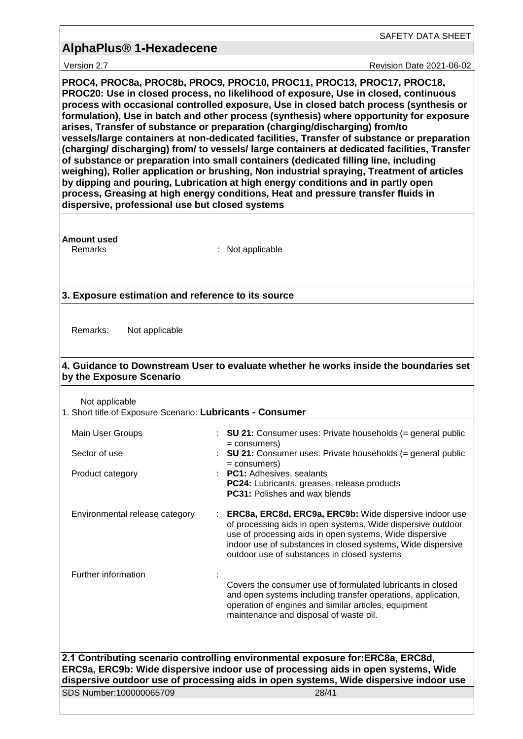SAFETY DATA SHEET

Version 2.7 Revision Date 2021-06-02

**PROC4, PROC8a, PROC8b, PROC9, PROC10, PROC11, PROC13, PROC17, PROC18, PROC20: Use in closed process, no likelihood of exposure, Use in closed, continuous process with occasional controlled exposure, Use in closed batch process (synthesis or formulation), Use in batch and other process (synthesis) where opportunity for exposure arises, Transfer of substance or preparation (charging/discharging) from/to vessels/large containers at non-dedicated facilities, Transfer of substance or preparation (charging/ discharging) from/ to vessels/ large containers at dedicated facilities, Transfer of substance or preparation into small containers (dedicated filling line, including weighing), Roller application or brushing, Non industrial spraying, Treatment of articles by dipping and pouring, Lubrication at high energy conditions and in partly open process, Greasing at high energy conditions, Heat and pressure transfer fluids in dispersive, professional use but closed systems**

**Amount used**

Remarks : Not applicable

### **3. Exposure estimation and reference to its source**

Remarks: Not applicable

### **4. Guidance to Downstream User to evaluate whether he works inside the boundaries set by the Exposure Scenario**

Not applicable

1. Short title of Exposure Scenario: **Lubricants - Consumer**

| Main User Groups               | : SU 21: Consumer uses: Private households $(=$ general public<br>= consumers)                                                                                                                                                                                                                 |
|--------------------------------|------------------------------------------------------------------------------------------------------------------------------------------------------------------------------------------------------------------------------------------------------------------------------------------------|
| Sector of use                  | : SU 21: Consumer uses: Private households $(=$ general public<br>= consumers)                                                                                                                                                                                                                 |
| Product category               | : PC1: Adhesives, sealants<br>PC24: Lubricants, greases, release products<br><b>PC31: Polishes and wax blends</b>                                                                                                                                                                              |
| Environmental release category | ERC8a, ERC8d, ERC9a, ERC9b: Wide dispersive indoor use<br>of processing aids in open systems, Wide dispersive outdoor<br>use of processing aids in open systems, Wide dispersive<br>indoor use of substances in closed systems, Wide dispersive<br>outdoor use of substances in closed systems |
| Further information            |                                                                                                                                                                                                                                                                                                |
|                                | Covers the consumer use of formulated lubricants in closed<br>and open systems including transfer operations, application,<br>operation of engines and similar articles, equipment<br>maintenance and disposal of waste oil.                                                                   |
|                                |                                                                                                                                                                                                                                                                                                |
|                                | 2.1 Contributing scenario controlling environmental exposure for:ERC8a, ERC8d,<br>ERC9a, ERC9b: Wide dispersive indoor use of processing aids in open systems, Wide                                                                                                                            |
|                                | dispersive outdoor use of processing aids in open systems, Wide dispersive indoor use                                                                                                                                                                                                          |
| SDS Number:100000065709        | 28/41                                                                                                                                                                                                                                                                                          |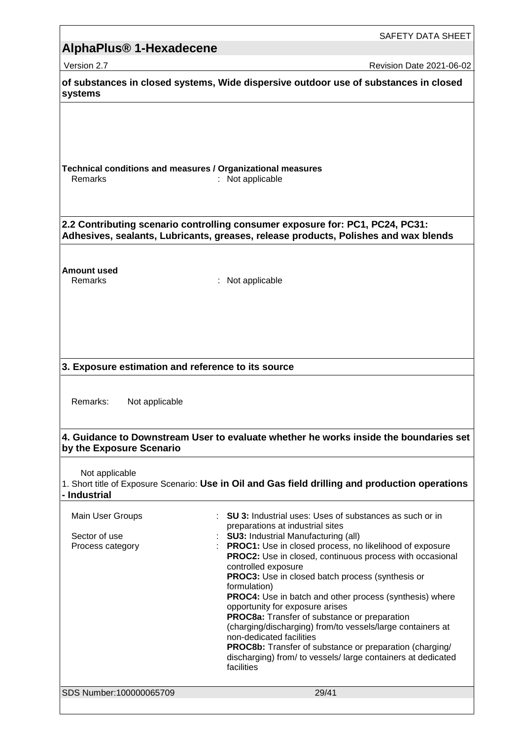|                                                                                                                                                                      | SAFETY DATA SHEET                                                                                                                                                                                                                                                                                                                                                                                                                                                                                                                                                                                                                                                                                                                                                               |  |
|----------------------------------------------------------------------------------------------------------------------------------------------------------------------|---------------------------------------------------------------------------------------------------------------------------------------------------------------------------------------------------------------------------------------------------------------------------------------------------------------------------------------------------------------------------------------------------------------------------------------------------------------------------------------------------------------------------------------------------------------------------------------------------------------------------------------------------------------------------------------------------------------------------------------------------------------------------------|--|
| AlphaPlus <sup>®</sup> 1-Hexadecene                                                                                                                                  |                                                                                                                                                                                                                                                                                                                                                                                                                                                                                                                                                                                                                                                                                                                                                                                 |  |
| Version 2.7                                                                                                                                                          | <b>Revision Date 2021-06-02</b>                                                                                                                                                                                                                                                                                                                                                                                                                                                                                                                                                                                                                                                                                                                                                 |  |
| systems                                                                                                                                                              | of substances in closed systems, Wide dispersive outdoor use of substances in closed                                                                                                                                                                                                                                                                                                                                                                                                                                                                                                                                                                                                                                                                                            |  |
| Technical conditions and measures / Organizational measures<br>Remarks                                                                                               | : Not applicable                                                                                                                                                                                                                                                                                                                                                                                                                                                                                                                                                                                                                                                                                                                                                                |  |
| 2.2 Contributing scenario controlling consumer exposure for: PC1, PC24, PC31:<br>Adhesives, sealants, Lubricants, greases, release products, Polishes and wax blends |                                                                                                                                                                                                                                                                                                                                                                                                                                                                                                                                                                                                                                                                                                                                                                                 |  |
| Amount used<br>Remarks                                                                                                                                               | Not applicable                                                                                                                                                                                                                                                                                                                                                                                                                                                                                                                                                                                                                                                                                                                                                                  |  |
| 3. Exposure estimation and reference to its source                                                                                                                   |                                                                                                                                                                                                                                                                                                                                                                                                                                                                                                                                                                                                                                                                                                                                                                                 |  |
| Remarks:<br>Not applicable                                                                                                                                           |                                                                                                                                                                                                                                                                                                                                                                                                                                                                                                                                                                                                                                                                                                                                                                                 |  |
| by the Exposure Scenario                                                                                                                                             | 4. Guidance to Downstream User to evaluate whether he works inside the boundaries set                                                                                                                                                                                                                                                                                                                                                                                                                                                                                                                                                                                                                                                                                           |  |
| Not applicable<br>- Industrial                                                                                                                                       | 1. Short title of Exposure Scenario: Use in Oil and Gas field drilling and production operations                                                                                                                                                                                                                                                                                                                                                                                                                                                                                                                                                                                                                                                                                |  |
| Main User Groups<br>Sector of use<br>Process category                                                                                                                | <b>SU 3:</b> Industrial uses: Uses of substances as such or in<br>preparations at industrial sites<br><b>SU3: Industrial Manufacturing (all)</b><br><b>PROC1:</b> Use in closed process, no likelihood of exposure<br><b>PROC2:</b> Use in closed, continuous process with occasional<br>controlled exposure<br><b>PROC3:</b> Use in closed batch process (synthesis or<br>formulation)<br><b>PROC4:</b> Use in batch and other process (synthesis) where<br>opportunity for exposure arises<br>PROC8a: Transfer of substance or preparation<br>(charging/discharging) from/to vessels/large containers at<br>non-dedicated facilities<br>PROC8b: Transfer of substance or preparation (charging/<br>discharging) from/ to vessels/ large containers at dedicated<br>facilities |  |
| SDS Number:100000065709                                                                                                                                              | 29/41                                                                                                                                                                                                                                                                                                                                                                                                                                                                                                                                                                                                                                                                                                                                                                           |  |

<u> 1989 - Johann Stein, marwolaethau a bhann an t-Amhain Aonaichte ann an t-Amhain Aonaichte ann an t-Amhain Aon</u>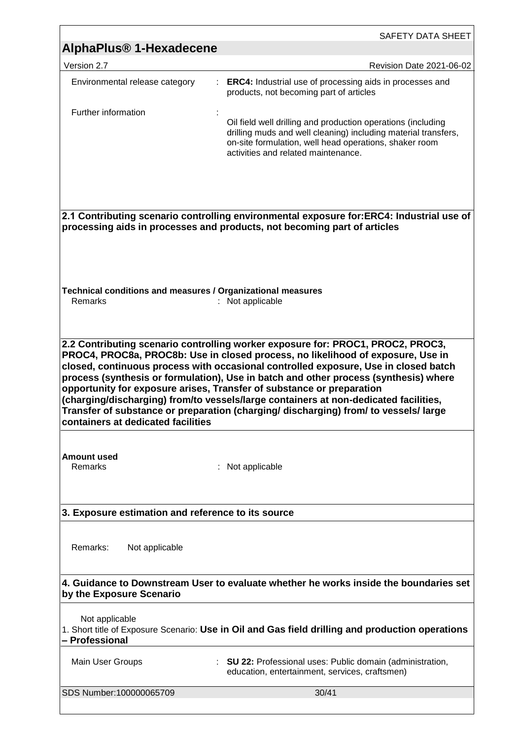|                                                                                                                                      | SAFETY DATA SHEET                                                                                                                                                                                                                                                                                                                                                                                                                                                                                                                                                                                        |
|--------------------------------------------------------------------------------------------------------------------------------------|----------------------------------------------------------------------------------------------------------------------------------------------------------------------------------------------------------------------------------------------------------------------------------------------------------------------------------------------------------------------------------------------------------------------------------------------------------------------------------------------------------------------------------------------------------------------------------------------------------|
| AlphaPlus <sup>®</sup> 1-Hexadecene                                                                                                  |                                                                                                                                                                                                                                                                                                                                                                                                                                                                                                                                                                                                          |
| Version 2.7                                                                                                                          | Revision Date 2021-06-02                                                                                                                                                                                                                                                                                                                                                                                                                                                                                                                                                                                 |
| Environmental release category<br>÷                                                                                                  | <b>ERC4:</b> Industrial use of processing aids in processes and<br>products, not becoming part of articles                                                                                                                                                                                                                                                                                                                                                                                                                                                                                               |
| Further information                                                                                                                  | Oil field well drilling and production operations (including<br>drilling muds and well cleaning) including material transfers,<br>on-site formulation, well head operations, shaker room<br>activities and related maintenance.                                                                                                                                                                                                                                                                                                                                                                          |
|                                                                                                                                      | 2.1 Contributing scenario controlling environmental exposure for:ERC4: Industrial use of<br>processing aids in processes and products, not becoming part of articles                                                                                                                                                                                                                                                                                                                                                                                                                                     |
| Technical conditions and measures / Organizational measures<br>Remarks                                                               | Not applicable                                                                                                                                                                                                                                                                                                                                                                                                                                                                                                                                                                                           |
| containers at dedicated facilities                                                                                                   | 2.2 Contributing scenario controlling worker exposure for: PROC1, PROC2, PROC3,<br>PROC4, PROC8a, PROC8b: Use in closed process, no likelihood of exposure, Use in<br>closed, continuous process with occasional controlled exposure, Use in closed batch<br>process (synthesis or formulation), Use in batch and other process (synthesis) where<br>opportunity for exposure arises, Transfer of substance or preparation<br>(charging/discharging) from/to vessels/large containers at non-dedicated facilities,<br>Transfer of substance or preparation (charging/discharging) from/ to vessels/large |
| Amount used<br>Remarks                                                                                                               | Not applicable                                                                                                                                                                                                                                                                                                                                                                                                                                                                                                                                                                                           |
| 3. Exposure estimation and reference to its source                                                                                   |                                                                                                                                                                                                                                                                                                                                                                                                                                                                                                                                                                                                          |
| Remarks:<br>Not applicable                                                                                                           |                                                                                                                                                                                                                                                                                                                                                                                                                                                                                                                                                                                                          |
| by the Exposure Scenario                                                                                                             | 4. Guidance to Downstream User to evaluate whether he works inside the boundaries set                                                                                                                                                                                                                                                                                                                                                                                                                                                                                                                    |
| Not applicable<br>1. Short title of Exposure Scenario: Use in Oil and Gas field drilling and production operations<br>- Professional |                                                                                                                                                                                                                                                                                                                                                                                                                                                                                                                                                                                                          |
| Main User Groups                                                                                                                     | : SU 22: Professional uses: Public domain (administration,<br>education, entertainment, services, craftsmen)                                                                                                                                                                                                                                                                                                                                                                                                                                                                                             |
| SDS Number:100000065709                                                                                                              | 30/41                                                                                                                                                                                                                                                                                                                                                                                                                                                                                                                                                                                                    |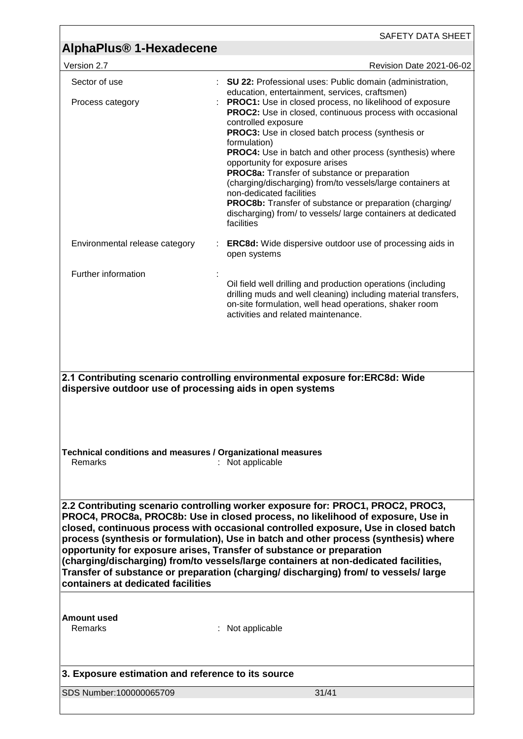|                                                                                                                                                                                                                                                                                                                                                                                                                                                                                                                                                                                                                                                  | SAFETY DATA SHEET                                                                                                                                                                                                                                                                                                                                                                                                                                                                                                                                                                                                                                                                                                                         |  |
|--------------------------------------------------------------------------------------------------------------------------------------------------------------------------------------------------------------------------------------------------------------------------------------------------------------------------------------------------------------------------------------------------------------------------------------------------------------------------------------------------------------------------------------------------------------------------------------------------------------------------------------------------|-------------------------------------------------------------------------------------------------------------------------------------------------------------------------------------------------------------------------------------------------------------------------------------------------------------------------------------------------------------------------------------------------------------------------------------------------------------------------------------------------------------------------------------------------------------------------------------------------------------------------------------------------------------------------------------------------------------------------------------------|--|
| AlphaPlus <sup>®</sup> 1-Hexadecene                                                                                                                                                                                                                                                                                                                                                                                                                                                                                                                                                                                                              |                                                                                                                                                                                                                                                                                                                                                                                                                                                                                                                                                                                                                                                                                                                                           |  |
| Version 2.7                                                                                                                                                                                                                                                                                                                                                                                                                                                                                                                                                                                                                                      | <b>Revision Date 2021-06-02</b>                                                                                                                                                                                                                                                                                                                                                                                                                                                                                                                                                                                                                                                                                                           |  |
| Sector of use<br>Process category                                                                                                                                                                                                                                                                                                                                                                                                                                                                                                                                                                                                                | <b>SU 22: Professional uses: Public domain (administration,</b><br>education, entertainment, services, craftsmen)<br>PROC1: Use in closed process, no likelihood of exposure<br><b>PROC2:</b> Use in closed, continuous process with occasional<br>controlled exposure<br>PROC3: Use in closed batch process (synthesis or<br>formulation)<br><b>PROC4:</b> Use in batch and other process (synthesis) where<br>opportunity for exposure arises<br>PROC8a: Transfer of substance or preparation<br>(charging/discharging) from/to vessels/large containers at<br>non-dedicated facilities<br><b>PROC8b:</b> Transfer of substance or preparation (charging/<br>discharging) from/ to vessels/ large containers at dedicated<br>facilities |  |
| Environmental release category                                                                                                                                                                                                                                                                                                                                                                                                                                                                                                                                                                                                                   | <b>ERC8d:</b> Wide dispersive outdoor use of processing aids in<br>open systems                                                                                                                                                                                                                                                                                                                                                                                                                                                                                                                                                                                                                                                           |  |
| Further information                                                                                                                                                                                                                                                                                                                                                                                                                                                                                                                                                                                                                              |                                                                                                                                                                                                                                                                                                                                                                                                                                                                                                                                                                                                                                                                                                                                           |  |
|                                                                                                                                                                                                                                                                                                                                                                                                                                                                                                                                                                                                                                                  | Oil field well drilling and production operations (including<br>drilling muds and well cleaning) including material transfers,<br>on-site formulation, well head operations, shaker room<br>activities and related maintenance.                                                                                                                                                                                                                                                                                                                                                                                                                                                                                                           |  |
| 2.1 Contributing scenario controlling environmental exposure for:ERC8d: Wide                                                                                                                                                                                                                                                                                                                                                                                                                                                                                                                                                                     |                                                                                                                                                                                                                                                                                                                                                                                                                                                                                                                                                                                                                                                                                                                                           |  |
| dispersive outdoor use of processing aids in open systems<br>Technical conditions and measures / Organizational measures<br>Remarks<br>: Not applicable                                                                                                                                                                                                                                                                                                                                                                                                                                                                                          |                                                                                                                                                                                                                                                                                                                                                                                                                                                                                                                                                                                                                                                                                                                                           |  |
| 2.2 Contributing scenario controlling worker exposure for: PROC1, PROC2, PROC3,<br>PROC4, PROC8a, PROC8b: Use in closed process, no likelihood of exposure, Use in<br>closed, continuous process with occasional controlled exposure, Use in closed batch<br>process (synthesis or formulation), Use in batch and other process (synthesis) where<br>opportunity for exposure arises, Transfer of substance or preparation<br>(charging/discharging) from/to vessels/large containers at non-dedicated facilities,<br>Transfer of substance or preparation (charging/ discharging) from/ to vessels/ large<br>containers at dedicated facilities |                                                                                                                                                                                                                                                                                                                                                                                                                                                                                                                                                                                                                                                                                                                                           |  |
| <b>Amount used</b><br>Remarks                                                                                                                                                                                                                                                                                                                                                                                                                                                                                                                                                                                                                    | : Not applicable                                                                                                                                                                                                                                                                                                                                                                                                                                                                                                                                                                                                                                                                                                                          |  |
| 3. Exposure estimation and reference to its source                                                                                                                                                                                                                                                                                                                                                                                                                                                                                                                                                                                               |                                                                                                                                                                                                                                                                                                                                                                                                                                                                                                                                                                                                                                                                                                                                           |  |
| SDS Number:100000065709                                                                                                                                                                                                                                                                                                                                                                                                                                                                                                                                                                                                                          | 31/41                                                                                                                                                                                                                                                                                                                                                                                                                                                                                                                                                                                                                                                                                                                                     |  |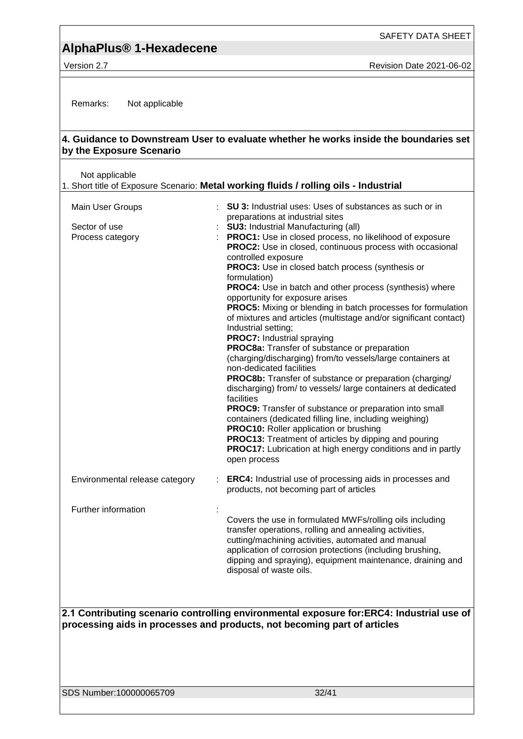Version 2.7 **New York 2021-06-02** Revision Date 2021-06-02

Remarks: Not applicable

### **4. Guidance to Downstream User to evaluate whether he works inside the boundaries set by the Exposure Scenario**

| Not applicable                                        | 1. Short title of Exposure Scenario: Metal working fluids / rolling oils - Industrial                                                                                                                                                                                                                                                                                                                                                                                                                                                                                                                                                                                                                                                                                                                                                                                                                                                                                                                                                                                                                                                                                                                                                                                                   |
|-------------------------------------------------------|-----------------------------------------------------------------------------------------------------------------------------------------------------------------------------------------------------------------------------------------------------------------------------------------------------------------------------------------------------------------------------------------------------------------------------------------------------------------------------------------------------------------------------------------------------------------------------------------------------------------------------------------------------------------------------------------------------------------------------------------------------------------------------------------------------------------------------------------------------------------------------------------------------------------------------------------------------------------------------------------------------------------------------------------------------------------------------------------------------------------------------------------------------------------------------------------------------------------------------------------------------------------------------------------|
| Main User Groups<br>Sector of use<br>Process category | : SU 3: Industrial uses: Uses of substances as such or in<br>preparations at industrial sites<br><b>SU3: Industrial Manufacturing (all)</b><br>PROC1: Use in closed process, no likelihood of exposure<br>PROC2: Use in closed, continuous process with occasional<br>controlled exposure<br>PROC3: Use in closed batch process (synthesis or<br>formulation)<br>PROC4: Use in batch and other process (synthesis) where<br>opportunity for exposure arises<br><b>PROC5:</b> Mixing or blending in batch processes for formulation<br>of mixtures and articles (multistage and/or significant contact)<br>Industrial setting;<br><b>PROC7: Industrial spraying</b><br>PROC8a: Transfer of substance or preparation<br>(charging/discharging) from/to vessels/large containers at<br>non-dedicated facilities<br>PROC8b: Transfer of substance or preparation (charging/<br>discharging) from/ to vessels/ large containers at dedicated<br>facilities<br><b>PROC9:</b> Transfer of substance or preparation into small<br>containers (dedicated filling line, including weighing)<br><b>PROC10:</b> Roller application or brushing<br><b>PROC13:</b> Treatment of articles by dipping and pouring<br><b>PROC17:</b> Lubrication at high energy conditions and in partly<br>open process |
| Environmental release category                        | <b>ERC4:</b> Industrial use of processing aids in processes and<br>products, not becoming part of articles                                                                                                                                                                                                                                                                                                                                                                                                                                                                                                                                                                                                                                                                                                                                                                                                                                                                                                                                                                                                                                                                                                                                                                              |
| Further information                                   | Ì,<br>Covers the use in formulated MWFs/rolling oils including<br>transfer operations, rolling and annealing activities,<br>cutting/machining activities, automated and manual<br>application of corrosion protections (including brushing,<br>dipping and spraying), equipment maintenance, draining and<br>disposal of waste oils.                                                                                                                                                                                                                                                                                                                                                                                                                                                                                                                                                                                                                                                                                                                                                                                                                                                                                                                                                    |
|                                                       | 2.1 Contributing scenario controlling environmental exposure for FRC4; Industrial use of                                                                                                                                                                                                                                                                                                                                                                                                                                                                                                                                                                                                                                                                                                                                                                                                                                                                                                                                                                                                                                                                                                                                                                                                |

**2.1 Contributing scenario controlling environmental exposure for:ERC4: Industrial use of processing aids in processes and products, not becoming part of articles**

SDS Number:100000065709 32/41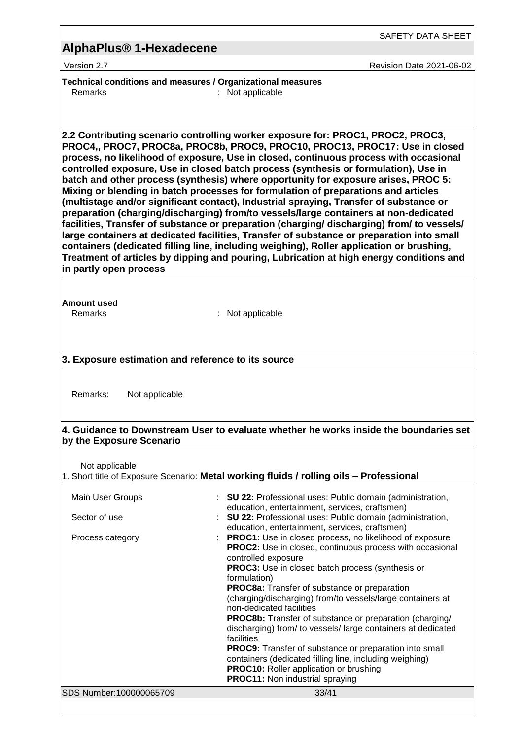### **AlphaPlus® 1-Hexadecene**

Version 2.7 Revision Date 2021-06-02

**Technical conditions and measures / Organizational measures** Remarks : Not applicable

**2.2 Contributing scenario controlling worker exposure for: PROC1, PROC2, PROC3, PROC4,, PROC7, PROC8a, PROC8b, PROC9, PROC10, PROC13, PROC17: Use in closed process, no likelihood of exposure, Use in closed, continuous process with occasional controlled exposure, Use in closed batch process (synthesis or formulation), Use in batch and other process (synthesis) where opportunity for exposure arises, PROC 5: Mixing or blending in batch processes for formulation of preparations and articles (multistage and/or significant contact), Industrial spraying, Transfer of substance or preparation (charging/discharging) from/to vessels/large containers at non-dedicated facilities, Transfer of substance or preparation (charging/ discharging) from/ to vessels/ large containers at dedicated facilities, Transfer of substance or preparation into small containers (dedicated filling line, including weighing), Roller application or brushing, Treatment of articles by dipping and pouring, Lubrication at high energy conditions and in partly open process**

**Amount used**

Remarks : Not applicable

### **3. Exposure estimation and reference to its source**

Remarks: Not applicable

#### **4. Guidance to Downstream User to evaluate whether he works inside the boundaries set by the Exposure Scenario**

Not applicable

#### 1. Short title of Exposure Scenario: **Metal working fluids / rolling oils – Professional**

| Main User Groups<br>Sector of use | : <b>SU 22:</b> Professional uses: Public domain (administration,<br>education, entertainment, services, craftsmen)<br>: SU 22: Professional uses: Public domain (administration,                                                                              |
|-----------------------------------|----------------------------------------------------------------------------------------------------------------------------------------------------------------------------------------------------------------------------------------------------------------|
| Process category                  | education, entertainment, services, craftsmen)<br><b>PROC1:</b> Use in closed process, no likelihood of exposure<br><b>PROC2:</b> Use in closed, continuous process with occasional<br>controlled exposure<br>PROC3: Use in closed batch process (synthesis or |
|                                   | formulation)<br><b>PROC8a:</b> Transfer of substance or preparation<br>(charging/discharging) from/to vessels/large containers at<br>non-dedicated facilities                                                                                                  |
|                                   | <b>PROC8b:</b> Transfer of substance or preparation (charging/<br>discharging) from/ to vessels/large containers at dedicated<br>facilities                                                                                                                    |
|                                   | <b>PROC9:</b> Transfer of substance or preparation into small<br>containers (dedicated filling line, including weighing)<br><b>PROC10:</b> Roller application or brushing<br><b>PROC11:</b> Non industrial spraying                                            |
| SDS Number:100000065709           | 33/41                                                                                                                                                                                                                                                          |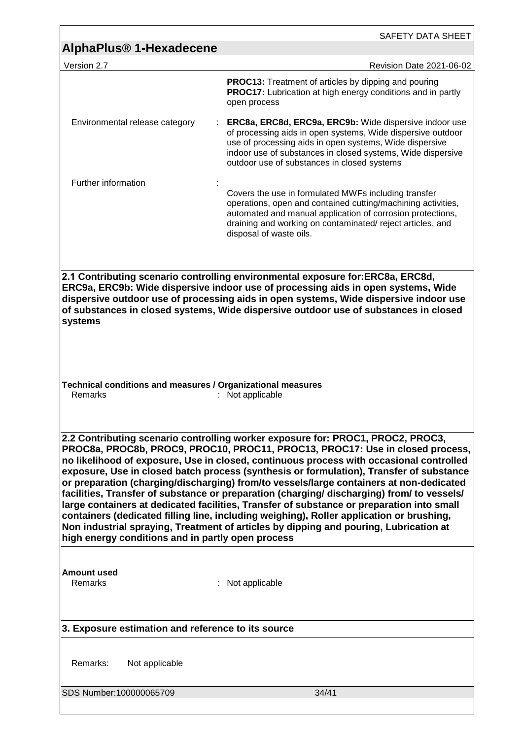|                                                                                                                                                                                                                                                                                                                                                                                                                                                                                                                                                                                                                                                                                                                                                                                                                                                                                        | SAFETY DATA SHEET                                                                                                                                                                                                                                                                              |  |
|----------------------------------------------------------------------------------------------------------------------------------------------------------------------------------------------------------------------------------------------------------------------------------------------------------------------------------------------------------------------------------------------------------------------------------------------------------------------------------------------------------------------------------------------------------------------------------------------------------------------------------------------------------------------------------------------------------------------------------------------------------------------------------------------------------------------------------------------------------------------------------------|------------------------------------------------------------------------------------------------------------------------------------------------------------------------------------------------------------------------------------------------------------------------------------------------|--|
| <b>AlphaPlus<sup>®</sup> 1-Hexadecene</b>                                                                                                                                                                                                                                                                                                                                                                                                                                                                                                                                                                                                                                                                                                                                                                                                                                              |                                                                                                                                                                                                                                                                                                |  |
| Version 2.7                                                                                                                                                                                                                                                                                                                                                                                                                                                                                                                                                                                                                                                                                                                                                                                                                                                                            | Revision Date 2021-06-02                                                                                                                                                                                                                                                                       |  |
|                                                                                                                                                                                                                                                                                                                                                                                                                                                                                                                                                                                                                                                                                                                                                                                                                                                                                        | <b>PROC13:</b> Treatment of articles by dipping and pouring<br><b>PROC17:</b> Lubrication at high energy conditions and in partly<br>open process                                                                                                                                              |  |
| Environmental release category                                                                                                                                                                                                                                                                                                                                                                                                                                                                                                                                                                                                                                                                                                                                                                                                                                                         | ERC8a, ERC8d, ERC9a, ERC9b: Wide dispersive indoor use<br>of processing aids in open systems, Wide dispersive outdoor<br>use of processing aids in open systems, Wide dispersive<br>indoor use of substances in closed systems, Wide dispersive<br>outdoor use of substances in closed systems |  |
| Further information                                                                                                                                                                                                                                                                                                                                                                                                                                                                                                                                                                                                                                                                                                                                                                                                                                                                    | Covers the use in formulated MWFs including transfer<br>operations, open and contained cutting/machining activities,<br>automated and manual application of corrosion protections,<br>draining and working on contaminated/reject articles, and<br>disposal of waste oils.                     |  |
| 2.1 Contributing scenario controlling environmental exposure for:ERC8a, ERC8d,<br>ERC9a, ERC9b: Wide dispersive indoor use of processing aids in open systems, Wide<br>dispersive outdoor use of processing aids in open systems, Wide dispersive indoor use<br>of substances in closed systems, Wide dispersive outdoor use of substances in closed<br>systems                                                                                                                                                                                                                                                                                                                                                                                                                                                                                                                        |                                                                                                                                                                                                                                                                                                |  |
| Technical conditions and measures / Organizational measures<br><b>Remarks</b><br>: Not applicable                                                                                                                                                                                                                                                                                                                                                                                                                                                                                                                                                                                                                                                                                                                                                                                      |                                                                                                                                                                                                                                                                                                |  |
| 2.2 Contributing scenario controlling worker exposure for: PROC1, PROC2, PROC3,<br>PROC8a, PROC8b, PROC9, PROC10, PROC11, PROC13, PROC17: Use in closed process,<br>no likelihood of exposure, Use in closed, continuous process with occasional controlled<br>exposure, Use in closed batch process (synthesis or formulation), Transfer of substance<br>or preparation (charging/discharging) from/to vessels/large containers at non-dedicated<br>facilities, Transfer of substance or preparation (charging/ discharging) from/ to vessels/<br>large containers at dedicated facilities, Transfer of substance or preparation into small<br>containers (dedicated filling line, including weighing), Roller application or brushing,<br>Non industrial spraying, Treatment of articles by dipping and pouring, Lubrication at<br>high energy conditions and in partly open process |                                                                                                                                                                                                                                                                                                |  |
| Amount used<br>Remarks                                                                                                                                                                                                                                                                                                                                                                                                                                                                                                                                                                                                                                                                                                                                                                                                                                                                 | : Not applicable                                                                                                                                                                                                                                                                               |  |
| 3. Exposure estimation and reference to its source                                                                                                                                                                                                                                                                                                                                                                                                                                                                                                                                                                                                                                                                                                                                                                                                                                     |                                                                                                                                                                                                                                                                                                |  |
| Remarks:<br>Not applicable                                                                                                                                                                                                                                                                                                                                                                                                                                                                                                                                                                                                                                                                                                                                                                                                                                                             |                                                                                                                                                                                                                                                                                                |  |
| SDS Number:100000065709                                                                                                                                                                                                                                                                                                                                                                                                                                                                                                                                                                                                                                                                                                                                                                                                                                                                | 34/41                                                                                                                                                                                                                                                                                          |  |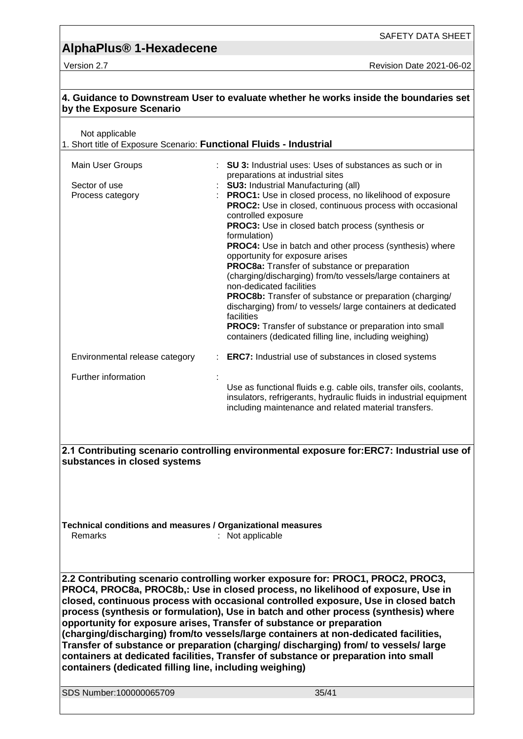| 4. Guidance to Downstream User to evaluate whether he works inside the boundaries set<br>by the Exposure Scenario                                                                                                                                                                                                                                                                                                                                                                                                                                                                                                                                                                                                                                             |                                                                                                                                                                                                                                                                                                                                                                                                                                                                                                                                                                                                                                                                                                                                                                                                                                                                                                 |  |
|---------------------------------------------------------------------------------------------------------------------------------------------------------------------------------------------------------------------------------------------------------------------------------------------------------------------------------------------------------------------------------------------------------------------------------------------------------------------------------------------------------------------------------------------------------------------------------------------------------------------------------------------------------------------------------------------------------------------------------------------------------------|-------------------------------------------------------------------------------------------------------------------------------------------------------------------------------------------------------------------------------------------------------------------------------------------------------------------------------------------------------------------------------------------------------------------------------------------------------------------------------------------------------------------------------------------------------------------------------------------------------------------------------------------------------------------------------------------------------------------------------------------------------------------------------------------------------------------------------------------------------------------------------------------------|--|
| Not applicable<br>1. Short title of Exposure Scenario: Functional Fluids - Industrial                                                                                                                                                                                                                                                                                                                                                                                                                                                                                                                                                                                                                                                                         |                                                                                                                                                                                                                                                                                                                                                                                                                                                                                                                                                                                                                                                                                                                                                                                                                                                                                                 |  |
| Main User Groups<br>Sector of use<br>Process category                                                                                                                                                                                                                                                                                                                                                                                                                                                                                                                                                                                                                                                                                                         | : SU 3: Industrial uses: Uses of substances as such or in<br>preparations at industrial sites<br><b>SU3: Industrial Manufacturing (all)</b><br>PROC1: Use in closed process, no likelihood of exposure<br><b>PROC2:</b> Use in closed, continuous process with occasional<br>controlled exposure<br>PROC3: Use in closed batch process (synthesis or<br>formulation)<br><b>PROC4:</b> Use in batch and other process (synthesis) where<br>opportunity for exposure arises<br>PROC8a: Transfer of substance or preparation<br>(charging/discharging) from/to vessels/large containers at<br>non-dedicated facilities<br><b>PROC8b:</b> Transfer of substance or preparation (charging/<br>discharging) from/ to vessels/ large containers at dedicated<br>facilities<br><b>PROC9:</b> Transfer of substance or preparation into small<br>containers (dedicated filling line, including weighing) |  |
| Environmental release category                                                                                                                                                                                                                                                                                                                                                                                                                                                                                                                                                                                                                                                                                                                                | <b>ERC7:</b> Industrial use of substances in closed systems                                                                                                                                                                                                                                                                                                                                                                                                                                                                                                                                                                                                                                                                                                                                                                                                                                     |  |
| Further information                                                                                                                                                                                                                                                                                                                                                                                                                                                                                                                                                                                                                                                                                                                                           | Use as functional fluids e.g. cable oils, transfer oils, coolants,<br>insulators, refrigerants, hydraulic fluids in industrial equipment<br>including maintenance and related material transfers.<br>2.1 Contributing scenario controlling environmental exposure for:ERC7: Industrial use of                                                                                                                                                                                                                                                                                                                                                                                                                                                                                                                                                                                                   |  |
| substances in closed systems<br>Technical conditions and measures / Organizational measures<br><b>Remarks</b>                                                                                                                                                                                                                                                                                                                                                                                                                                                                                                                                                                                                                                                 | : Not applicable                                                                                                                                                                                                                                                                                                                                                                                                                                                                                                                                                                                                                                                                                                                                                                                                                                                                                |  |
| 2.2 Contributing scenario controlling worker exposure for: PROC1, PROC2, PROC3,<br>PROC4, PROC8a, PROC8b,: Use in closed process, no likelihood of exposure, Use in<br>closed, continuous process with occasional controlled exposure, Use in closed batch<br>process (synthesis or formulation), Use in batch and other process (synthesis) where<br>opportunity for exposure arises, Transfer of substance or preparation<br>(charging/discharging) from/to vessels/large containers at non-dedicated facilities,<br>Transfer of substance or preparation (charging/ discharging) from/ to vessels/ large<br>containers at dedicated facilities, Transfer of substance or preparation into small<br>containers (dedicated filling line, including weighing) |                                                                                                                                                                                                                                                                                                                                                                                                                                                                                                                                                                                                                                                                                                                                                                                                                                                                                                 |  |
| SDS Number:100000065709                                                                                                                                                                                                                                                                                                                                                                                                                                                                                                                                                                                                                                                                                                                                       | 35/41                                                                                                                                                                                                                                                                                                                                                                                                                                                                                                                                                                                                                                                                                                                                                                                                                                                                                           |  |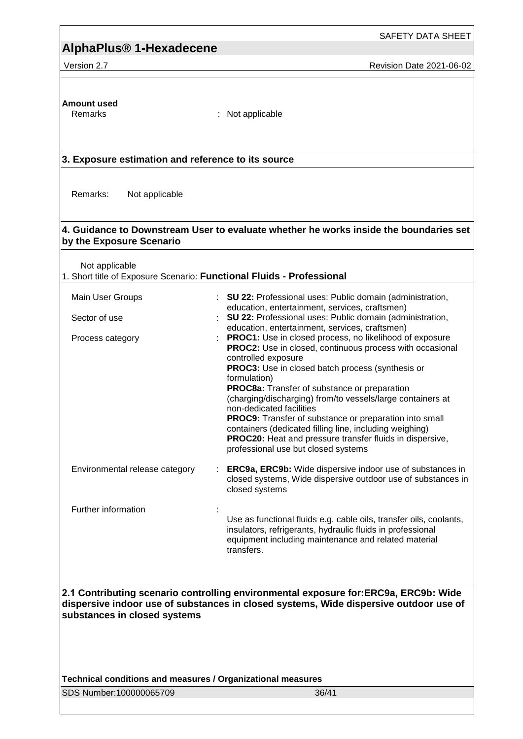SAFETY DATA SHEET

Version 2.7 **New Search 2021-06-02** Revision Date 2021-06-02

# **Amount used**

: Not applicable

### **3. Exposure estimation and reference to its source**

Remarks: Not applicable

### **4. Guidance to Downstream User to evaluate whether he works inside the boundaries set by the Exposure Scenario**

Not applicable

1. Short title of Exposure Scenario: **Functional Fluids - Professional**

| Main User Groups               | : SU 22: Professional uses: Public domain (administration,<br>education, entertainment, services, craftsmen)                                                                                                                                                                                                                                                                                                                                                                                                                                                                                                                                                                 |
|--------------------------------|------------------------------------------------------------------------------------------------------------------------------------------------------------------------------------------------------------------------------------------------------------------------------------------------------------------------------------------------------------------------------------------------------------------------------------------------------------------------------------------------------------------------------------------------------------------------------------------------------------------------------------------------------------------------------|
| Sector of use                  | : SU 22: Professional uses: Public domain (administration,                                                                                                                                                                                                                                                                                                                                                                                                                                                                                                                                                                                                                   |
| Process category               | education, entertainment, services, craftsmen)<br><b>PROC1:</b> Use in closed process, no likelihood of exposure<br><b>PROC2:</b> Use in closed, continuous process with occasional<br>controlled exposure<br><b>PROC3:</b> Use in closed batch process (synthesis or<br>formulation)<br><b>PROC8a:</b> Transfer of substance or preparation<br>(charging/discharging) from/to vessels/large containers at<br>non-dedicated facilities<br><b>PROC9:</b> Transfer of substance or preparation into small<br>containers (dedicated filling line, including weighing)<br><b>PROC20:</b> Heat and pressure transfer fluids in dispersive,<br>professional use but closed systems |
| Environmental release category | <b>ERC9a, ERC9b:</b> Wide dispersive indoor use of substances in<br>closed systems, Wide dispersive outdoor use of substances in<br>closed systems                                                                                                                                                                                                                                                                                                                                                                                                                                                                                                                           |
| Further information            | Use as functional fluids e.g. cable oils, transfer oils, coolants,<br>insulators, refrigerants, hydraulic fluids in professional<br>equipment including maintenance and related material                                                                                                                                                                                                                                                                                                                                                                                                                                                                                     |

**2.1 Contributing scenario controlling environmental exposure for:ERC9a, ERC9b: Wide dispersive indoor use of substances in closed systems, Wide dispersive outdoor use of substances in closed systems**

transfers.

**Technical conditions and measures / Organizational measures**

SDS Number:100000065709 36/41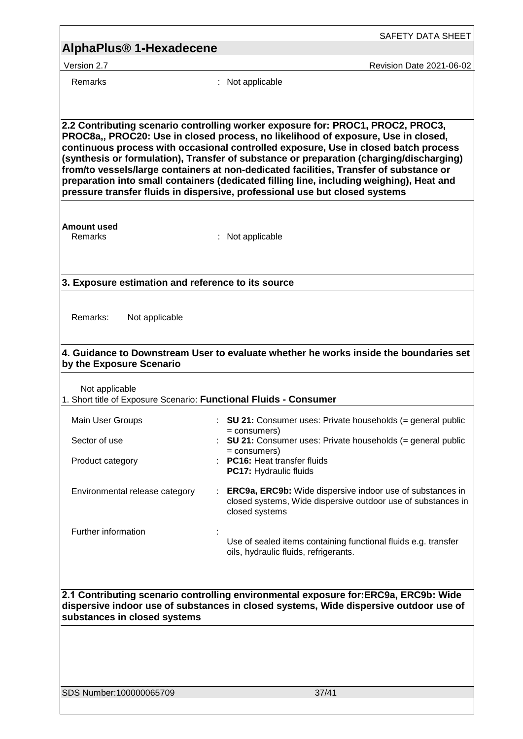| AlphaPlus® 1-Hexadecene |  |
|-------------------------|--|
|-------------------------|--|

Remarks : Not applicable

Version 2.7 Revision Date 2021-06-02

**2.2 Contributing scenario controlling worker exposure for: PROC1, PROC2, PROC3, PROC8a,, PROC20: Use in closed process, no likelihood of exposure, Use in closed, continuous process with occasional controlled exposure, Use in closed batch process (synthesis or formulation), Transfer of substance or preparation (charging/discharging) from/to vessels/large containers at non-dedicated facilities, Transfer of substance or preparation into small containers (dedicated filling line, including weighing), Heat and pressure transfer fluids in dispersive, professional use but closed systems**

**Amount used**

: Not applicable

### **3. Exposure estimation and reference to its source**

| Remarks: | Not applicable |  |
|----------|----------------|--|
|          |                |  |

### **4. Guidance to Downstream User to evaluate whether he works inside the boundaries set by the Exposure Scenario**

Not applicable

1. Short title of Exposure Scenario: **Functional Fluids - Consumer**

| Main User Groups               | : $SU 21$ : Consumer uses: Private households (= general public<br>= consumers)                                                                    |
|--------------------------------|----------------------------------------------------------------------------------------------------------------------------------------------------|
| Sector of use                  | : $SU 21$ : Consumer uses: Private households (= general public<br>= consumers)                                                                    |
| Product category               | <b>PC16: Heat transfer fluids</b>                                                                                                                  |
|                                | <b>PC17: Hydraulic fluids</b>                                                                                                                      |
| Environmental release category | <b>ERC9a, ERC9b:</b> Wide dispersive indoor use of substances in<br>closed systems, Wide dispersive outdoor use of substances in<br>closed systems |
| Further information            | $\mathbf{r}$                                                                                                                                       |
|                                | Use of sealed items containing functional fluids e.g. transfer<br>oils, hydraulic fluids, refrigerants.                                            |

**2.1 Contributing scenario controlling environmental exposure for:ERC9a, ERC9b: Wide dispersive indoor use of substances in closed systems, Wide dispersive outdoor use of substances in closed systems**

SDS Number:100000065709 37/41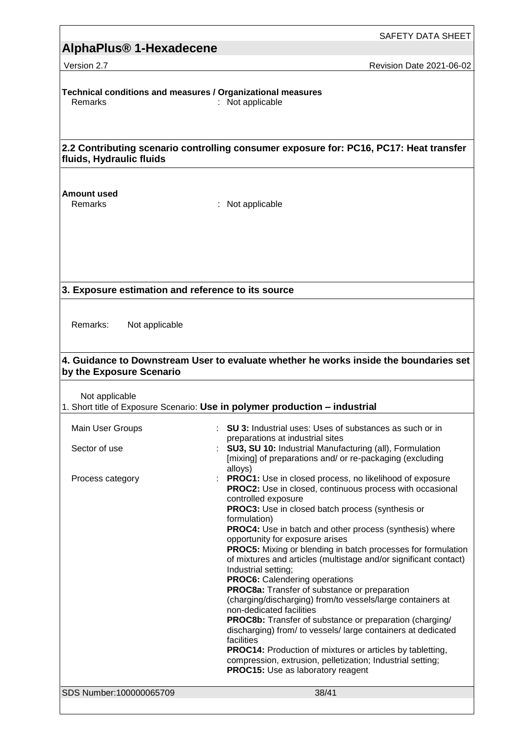Version 2.7 **New Search 2021-06-02** Revision Date 2021-06-02

**Technical conditions and measures / Organizational measures**  $:$  Not applicable

**2.2 Contributing scenario controlling consumer exposure for: PC16, PC17: Heat transfer fluids, Hydraulic fluids**

### **Amount used**

Remarks : Not applicable

**3. Exposure estimation and reference to its source**

Remarks: Not applicable

### **4. Guidance to Downstream User to evaluate whether he works inside the boundaries set by the Exposure Scenario**

Not applicable

| 1. Short title of Exposure Scenario: Use in polymer production - industrial |  |  |  |
|-----------------------------------------------------------------------------|--|--|--|
|-----------------------------------------------------------------------------|--|--|--|

| Main User Groups<br>Sector of use | : SU 3: Industrial uses: Uses of substances as such or in<br>preparations at industrial sites<br>: SU3, SU 10: Industrial Manufacturing (all), Formulation                                                              |
|-----------------------------------|-------------------------------------------------------------------------------------------------------------------------------------------------------------------------------------------------------------------------|
|                                   | [mixing] of preparations and/ or re-packaging (excluding<br>alloys)                                                                                                                                                     |
| Process category                  | : PROC1: Use in closed process, no likelihood of exposure<br><b>PROC2:</b> Use in closed, continuous process with occasional<br>controlled exposure<br>PROC3: Use in closed batch process (synthesis or<br>formulation) |
|                                   | <b>PROC4:</b> Use in batch and other process (synthesis) where<br>opportunity for exposure arises                                                                                                                       |
|                                   | PROC5: Mixing or blending in batch processes for formulation<br>of mixtures and articles (multistage and/or significant contact)<br>Industrial setting;                                                                 |
|                                   | <b>PROC6:</b> Calendering operations                                                                                                                                                                                    |
|                                   | PROC8a: Transfer of substance or preparation                                                                                                                                                                            |
|                                   | (charging/discharging) from/to vessels/large containers at<br>non-dedicated facilities                                                                                                                                  |
|                                   | <b>PROC8b:</b> Transfer of substance or preparation (charging/<br>discharging) from/ to vessels/ large containers at dedicated<br>facilities                                                                            |
|                                   | <b>PROC14:</b> Production of mixtures or articles by tabletting,<br>compression, extrusion, pelletization; Industrial setting;<br>PROC15: Use as laboratory reagent                                                     |
| SDS Number:100000065709           | 38/41                                                                                                                                                                                                                   |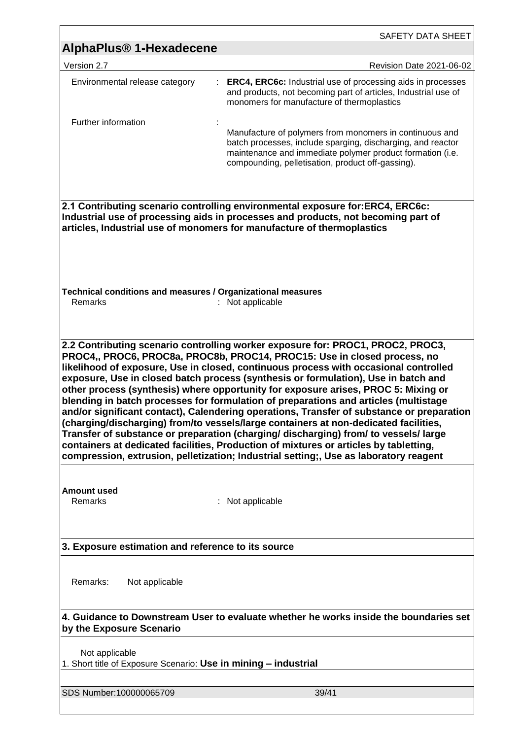|                                                                                                                                                                                                                                              | SAFETY DATA SHEET                                                                                                                                                                                                                                                                                                                                                                                                                                                                                                                                                                                                                                                                                                                                                                                                                                                                                   |  |  |  |
|----------------------------------------------------------------------------------------------------------------------------------------------------------------------------------------------------------------------------------------------|-----------------------------------------------------------------------------------------------------------------------------------------------------------------------------------------------------------------------------------------------------------------------------------------------------------------------------------------------------------------------------------------------------------------------------------------------------------------------------------------------------------------------------------------------------------------------------------------------------------------------------------------------------------------------------------------------------------------------------------------------------------------------------------------------------------------------------------------------------------------------------------------------------|--|--|--|
| AlphaPlus <sup>®</sup> 1-Hexadecene                                                                                                                                                                                                          |                                                                                                                                                                                                                                                                                                                                                                                                                                                                                                                                                                                                                                                                                                                                                                                                                                                                                                     |  |  |  |
| Version 2.7                                                                                                                                                                                                                                  | Revision Date 2021-06-02                                                                                                                                                                                                                                                                                                                                                                                                                                                                                                                                                                                                                                                                                                                                                                                                                                                                            |  |  |  |
| Environmental release category                                                                                                                                                                                                               | <b>ERC4, ERC6c:</b> Industrial use of processing aids in processes<br>and products, not becoming part of articles, Industrial use of<br>monomers for manufacture of thermoplastics                                                                                                                                                                                                                                                                                                                                                                                                                                                                                                                                                                                                                                                                                                                  |  |  |  |
| Further information                                                                                                                                                                                                                          |                                                                                                                                                                                                                                                                                                                                                                                                                                                                                                                                                                                                                                                                                                                                                                                                                                                                                                     |  |  |  |
|                                                                                                                                                                                                                                              | Manufacture of polymers from monomers in continuous and<br>batch processes, include sparging, discharging, and reactor<br>maintenance and immediate polymer product formation (i.e.<br>compounding, pelletisation, product off-gassing).                                                                                                                                                                                                                                                                                                                                                                                                                                                                                                                                                                                                                                                            |  |  |  |
| 2.1 Contributing scenario controlling environmental exposure for:ERC4, ERC6c:<br>Industrial use of processing aids in processes and products, not becoming part of<br>articles, Industrial use of monomers for manufacture of thermoplastics |                                                                                                                                                                                                                                                                                                                                                                                                                                                                                                                                                                                                                                                                                                                                                                                                                                                                                                     |  |  |  |
| Technical conditions and measures / Organizational measures<br>Remarks<br>: Not applicable                                                                                                                                                   |                                                                                                                                                                                                                                                                                                                                                                                                                                                                                                                                                                                                                                                                                                                                                                                                                                                                                                     |  |  |  |
|                                                                                                                                                                                                                                              | PROC4,, PROC6, PROC8a, PROC8b, PROC14, PROC15: Use in closed process, no<br>likelihood of exposure, Use in closed, continuous process with occasional controlled<br>exposure, Use in closed batch process (synthesis or formulation), Use in batch and<br>other process (synthesis) where opportunity for exposure arises, PROC 5: Mixing or<br>blending in batch processes for formulation of preparations and articles (multistage<br>and/or significant contact), Calendering operations, Transfer of substance or preparation<br>(charging/discharging) from/to vessels/large containers at non-dedicated facilities,<br>Transfer of substance or preparation (charging/ discharging) from/ to vessels/ large<br>containers at dedicated facilities, Production of mixtures or articles by tabletting,<br>compression, extrusion, pelletization; Industrial setting;, Use as laboratory reagent |  |  |  |
| Amount used<br>Remarks                                                                                                                                                                                                                       | : Not applicable                                                                                                                                                                                                                                                                                                                                                                                                                                                                                                                                                                                                                                                                                                                                                                                                                                                                                    |  |  |  |
| 3. Exposure estimation and reference to its source                                                                                                                                                                                           |                                                                                                                                                                                                                                                                                                                                                                                                                                                                                                                                                                                                                                                                                                                                                                                                                                                                                                     |  |  |  |
| Remarks:<br>Not applicable                                                                                                                                                                                                                   |                                                                                                                                                                                                                                                                                                                                                                                                                                                                                                                                                                                                                                                                                                                                                                                                                                                                                                     |  |  |  |
| 4. Guidance to Downstream User to evaluate whether he works inside the boundaries set<br>by the Exposure Scenario                                                                                                                            |                                                                                                                                                                                                                                                                                                                                                                                                                                                                                                                                                                                                                                                                                                                                                                                                                                                                                                     |  |  |  |
| Not applicable<br>1. Short title of Exposure Scenario: Use in mining - industrial                                                                                                                                                            |                                                                                                                                                                                                                                                                                                                                                                                                                                                                                                                                                                                                                                                                                                                                                                                                                                                                                                     |  |  |  |
| SDS Number:100000065709                                                                                                                                                                                                                      | 39/41                                                                                                                                                                                                                                                                                                                                                                                                                                                                                                                                                                                                                                                                                                                                                                                                                                                                                               |  |  |  |

<u> 1980 - Johann Barbara, martxa a</u>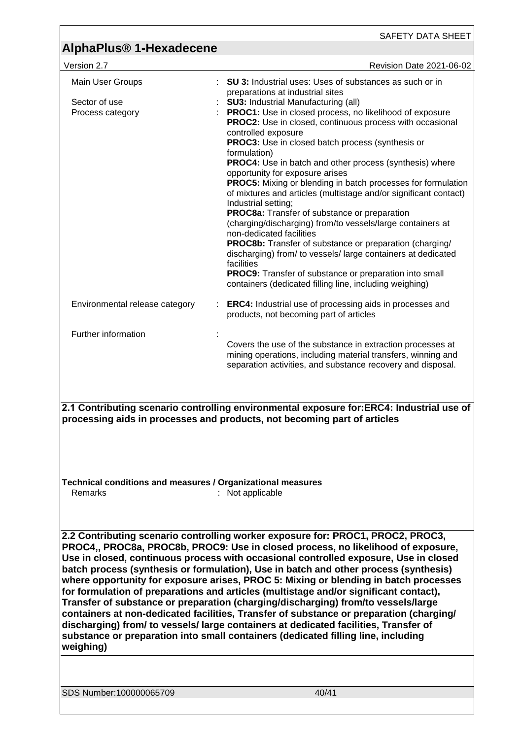|                                                                                                                                                                                                                                                                                                                                                                                                                                                                                                                                                                                                                                                                                                                                                                                                                                                                                                                | SAFETY DATA SHEET                                                                                                                                                                                                                                                                                                                                                                                                                                                                                                                                                                                                                                                                                                                                                                                                                                                                                                                                                                                                                                               |  |  |
|----------------------------------------------------------------------------------------------------------------------------------------------------------------------------------------------------------------------------------------------------------------------------------------------------------------------------------------------------------------------------------------------------------------------------------------------------------------------------------------------------------------------------------------------------------------------------------------------------------------------------------------------------------------------------------------------------------------------------------------------------------------------------------------------------------------------------------------------------------------------------------------------------------------|-----------------------------------------------------------------------------------------------------------------------------------------------------------------------------------------------------------------------------------------------------------------------------------------------------------------------------------------------------------------------------------------------------------------------------------------------------------------------------------------------------------------------------------------------------------------------------------------------------------------------------------------------------------------------------------------------------------------------------------------------------------------------------------------------------------------------------------------------------------------------------------------------------------------------------------------------------------------------------------------------------------------------------------------------------------------|--|--|
| AlphaPlus <sup>®</sup> 1-Hexadecene                                                                                                                                                                                                                                                                                                                                                                                                                                                                                                                                                                                                                                                                                                                                                                                                                                                                            |                                                                                                                                                                                                                                                                                                                                                                                                                                                                                                                                                                                                                                                                                                                                                                                                                                                                                                                                                                                                                                                                 |  |  |
| Version 2.7                                                                                                                                                                                                                                                                                                                                                                                                                                                                                                                                                                                                                                                                                                                                                                                                                                                                                                    | Revision Date 2021-06-02                                                                                                                                                                                                                                                                                                                                                                                                                                                                                                                                                                                                                                                                                                                                                                                                                                                                                                                                                                                                                                        |  |  |
| Main User Groups<br>Sector of use<br>Process category                                                                                                                                                                                                                                                                                                                                                                                                                                                                                                                                                                                                                                                                                                                                                                                                                                                          | <b>SU 3:</b> Industrial uses: Uses of substances as such or in<br>preparations at industrial sites<br><b>SU3: Industrial Manufacturing (all)</b><br>PROC1: Use in closed process, no likelihood of exposure<br><b>PROC2:</b> Use in closed, continuous process with occasional<br>controlled exposure<br>PROC3: Use in closed batch process (synthesis or<br>formulation)<br>PROC4: Use in batch and other process (synthesis) where<br>opportunity for exposure arises<br><b>PROC5:</b> Mixing or blending in batch processes for formulation<br>of mixtures and articles (multistage and/or significant contact)<br>Industrial setting;<br>PROC8a: Transfer of substance or preparation<br>(charging/discharging) from/to vessels/large containers at<br>non-dedicated facilities<br><b>PROC8b:</b> Transfer of substance or preparation (charging/<br>discharging) from/ to vessels/ large containers at dedicated<br>facilities<br><b>PROC9:</b> Transfer of substance or preparation into small<br>containers (dedicated filling line, including weighing) |  |  |
| Environmental release category                                                                                                                                                                                                                                                                                                                                                                                                                                                                                                                                                                                                                                                                                                                                                                                                                                                                                 | <b>ERC4:</b> Industrial use of processing aids in processes and<br>products, not becoming part of articles                                                                                                                                                                                                                                                                                                                                                                                                                                                                                                                                                                                                                                                                                                                                                                                                                                                                                                                                                      |  |  |
| Further information<br>Covers the use of the substance in extraction processes at<br>mining operations, including material transfers, winning and<br>separation activities, and substance recovery and disposal.<br>2.1 Contributing scenario controlling environmental exposure for:ERC4: Industrial use of<br>processing aids in processes and products, not becoming part of articles                                                                                                                                                                                                                                                                                                                                                                                                                                                                                                                       |                                                                                                                                                                                                                                                                                                                                                                                                                                                                                                                                                                                                                                                                                                                                                                                                                                                                                                                                                                                                                                                                 |  |  |
| Technical conditions and measures / Organizational measures<br><b>Remarks</b><br>: Not applicable                                                                                                                                                                                                                                                                                                                                                                                                                                                                                                                                                                                                                                                                                                                                                                                                              |                                                                                                                                                                                                                                                                                                                                                                                                                                                                                                                                                                                                                                                                                                                                                                                                                                                                                                                                                                                                                                                                 |  |  |
| 2.2 Contributing scenario controlling worker exposure for: PROC1, PROC2, PROC3,<br>PROC4,, PROC8a, PROC8b, PROC9: Use in closed process, no likelihood of exposure,<br>Use in closed, continuous process with occasional controlled exposure, Use in closed<br>batch process (synthesis or formulation), Use in batch and other process (synthesis)<br>where opportunity for exposure arises, PROC 5: Mixing or blending in batch processes<br>for formulation of preparations and articles (multistage and/or significant contact),<br>Transfer of substance or preparation (charging/discharging) from/to vessels/large<br>containers at non-dedicated facilities, Transfer of substance or preparation (charging/<br>discharging) from/ to vessels/ large containers at dedicated facilities, Transfer of<br>substance or preparation into small containers (dedicated filling line, including<br>weighing) |                                                                                                                                                                                                                                                                                                                                                                                                                                                                                                                                                                                                                                                                                                                                                                                                                                                                                                                                                                                                                                                                 |  |  |
| SDS Number:100000065709                                                                                                                                                                                                                                                                                                                                                                                                                                                                                                                                                                                                                                                                                                                                                                                                                                                                                        | 40/41                                                                                                                                                                                                                                                                                                                                                                                                                                                                                                                                                                                                                                                                                                                                                                                                                                                                                                                                                                                                                                                           |  |  |